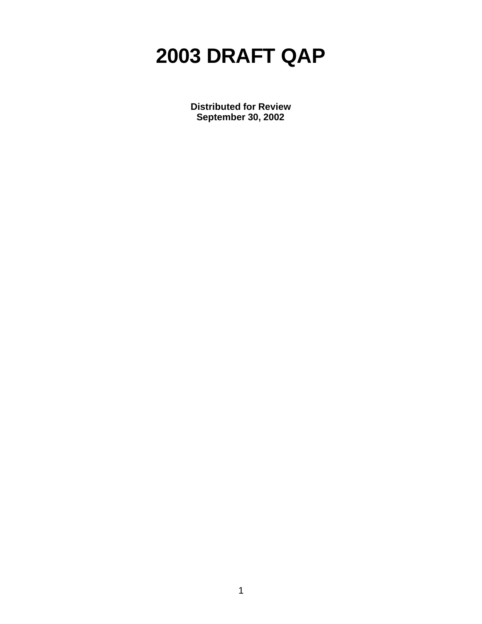# **2003 DRAFT QAP**

**Distributed for Review September 30, 2002**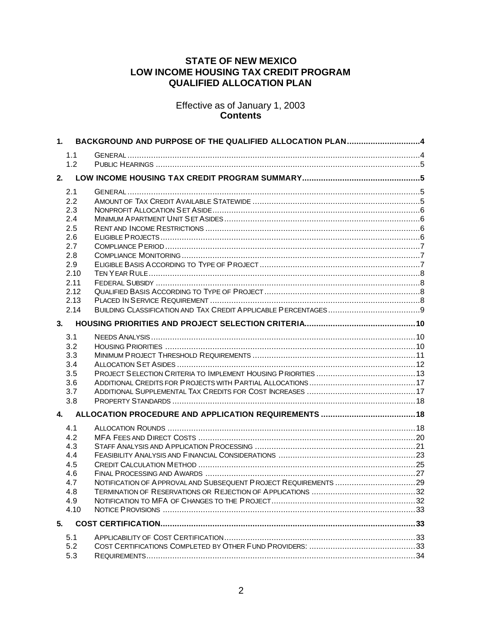## **STATE OF NEW MEXICO LOW INCOME HOUSING TAX CREDIT PROGRAM QUALIFIED ALLOCATION PLAN**

Effective as of January 1, 2003 **Contents**

| 1.   | BACKGROUND AND PURPOSE OF THE QUALIFIED ALLOCATION PLAN4 |  |
|------|----------------------------------------------------------|--|
| 1.1  |                                                          |  |
| 1.2  |                                                          |  |
|      |                                                          |  |
| 2.1  |                                                          |  |
| 2.2  |                                                          |  |
| 2.3  |                                                          |  |
| 2.4  |                                                          |  |
| 2.5  |                                                          |  |
| 2.6  |                                                          |  |
| 2.7  |                                                          |  |
| 2.8  |                                                          |  |
| 2.9  |                                                          |  |
| 2.10 |                                                          |  |
| 2.11 |                                                          |  |
| 2.12 |                                                          |  |
| 2.13 |                                                          |  |
| 2.14 |                                                          |  |
| 3.   |                                                          |  |
| 3.1  |                                                          |  |
| 3.2  |                                                          |  |
| 3.3  |                                                          |  |
| 3.4  |                                                          |  |
| 3.5  |                                                          |  |
| 3.6  |                                                          |  |
| 3.7  |                                                          |  |
| 3.8  |                                                          |  |
| 4.   |                                                          |  |
| 4.1  |                                                          |  |
| 4.2  |                                                          |  |
| 4.3  |                                                          |  |
| 4.4  |                                                          |  |
| 4.5  |                                                          |  |
| 4.6  |                                                          |  |
| 4.7  |                                                          |  |
| 4.8  |                                                          |  |
| 4.9  |                                                          |  |
| 4.10 |                                                          |  |
| 5.   |                                                          |  |
| 5.1  |                                                          |  |
| 5.2  |                                                          |  |
| 5.3  |                                                          |  |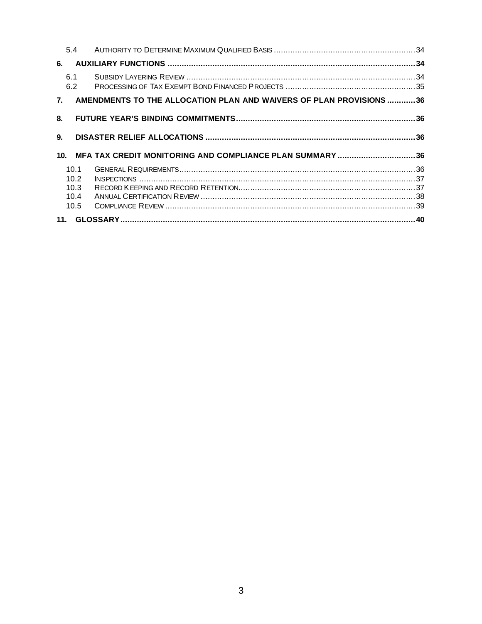|                 | 5.4        |                                                                     |  |  |  |
|-----------------|------------|---------------------------------------------------------------------|--|--|--|
| 6.              |            |                                                                     |  |  |  |
|                 | 6.1<br>6.2 |                                                                     |  |  |  |
| 7 <sup>1</sup>  |            | AMENDMENTS TO THE ALLOCATION PLAN AND WAIVERS OF PLAN PROVISIONS 36 |  |  |  |
| 8.              |            |                                                                     |  |  |  |
| 9.              |            |                                                                     |  |  |  |
| 10 <sub>1</sub> |            | MFA TAX CREDIT MONITORING AND COMPLIANCE PLAN SUMMARY 36            |  |  |  |
|                 | 10.1       |                                                                     |  |  |  |
|                 | 10.2       |                                                                     |  |  |  |
|                 | 10.3       |                                                                     |  |  |  |
|                 | 10.4       |                                                                     |  |  |  |
|                 | 10.5       |                                                                     |  |  |  |
|                 |            |                                                                     |  |  |  |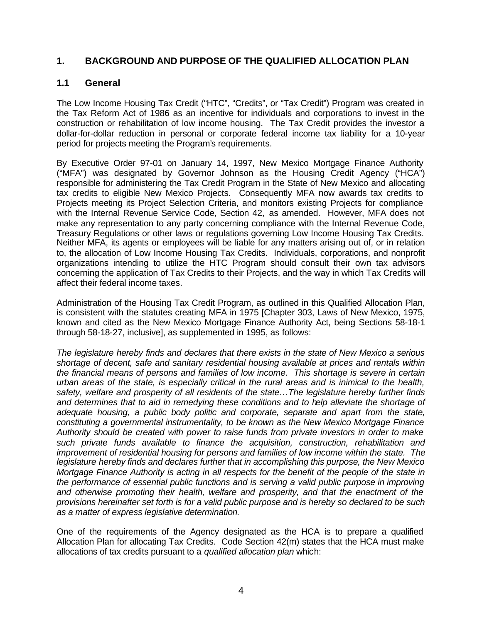## **1. BACKGROUND AND PURPOSE OF THE QUALIFIED ALLOCATION PLAN**

## **1.1 General**

The Low Income Housing Tax Credit ("HTC", "Credits", or "Tax Credit") Program was created in the Tax Reform Act of 1986 as an incentive for individuals and corporations to invest in the construction or rehabilitation of low income housing. The Tax Credit provides the investor a dollar-for-dollar reduction in personal or corporate federal income tax liability for a 10-year period for projects meeting the Program's requirements.

By Executive Order 97-01 on January 14, 1997, New Mexico Mortgage Finance Authority ("MFA") was designated by Governor Johnson as the Housing Credit Agency ("HCA") responsible for administering the Tax Credit Program in the State of New Mexico and allocating tax credits to eligible New Mexico Projects. Consequently MFA now awards tax credits to Projects meeting its Project Selection Criteria, and monitors existing Projects for compliance with the Internal Revenue Service Code, Section 42, as amended. However, MFA does not make any representation to any party concerning compliance with the Internal Revenue Code, Treasury Regulations or other laws or regulations governing Low Income Housing Tax Credits. Neither MFA, its agents or employees will be liable for any matters arising out of, or in relation to, the allocation of Low Income Housing Tax Credits. Individuals, corporations, and nonprofit organizations intending to utilize the HTC Program should consult their own tax advisors concerning the application of Tax Credits to their Projects, and the way in which Tax Credits will affect their federal income taxes.

Administration of the Housing Tax Credit Program, as outlined in this Qualified Allocation Plan, is consistent with the statutes creating MFA in 1975 [Chapter 303, Laws of New Mexico, 1975, known and cited as the New Mexico Mortgage Finance Authority Act, being Sections 58-18-1 through 58-18-27, inclusive], as supplemented in 1995, as follows:

*The legislature hereby finds and declares that there exists in the state of New Mexico a serious shortage of decent, safe and sanitary residential housing available at prices and rentals within the financial means of persons and families of low income. This shortage is severe in certain urban areas of the state, is especially critical in the rural areas and is inimical to the health, safety, welfare and prosperity of all residents of the state…The legislature hereby further finds and determines that to aid in remedying these conditions and to help alleviate the shortage of adequate housing, a public body politic and corporate, separate and apart from the state, constituting a governmental instrumentality, to be known as the New Mexico Mortgage Finance Authority should be created with power to raise funds from private investors in order to make such private funds available to finance the acquisition, construction, rehabilitation and improvement of residential housing for persons and families of low income within the state. The legislature hereby finds and declares further that in accomplishing this purpose, the New Mexico Mortgage Finance Authority is acting in all respects for the benefit of the people of the state in the performance of essential public functions and is serving a valid public purpose in improving and otherwise promoting their health, welfare and prosperity, and that the enactment of the provisions hereinafter set forth is for a valid public purpose and is hereby so declared to be such as a matter of express legislative determination.*

One of the requirements of the Agency designated as the HCA is to prepare a qualified Allocation Plan for allocating Tax Credits. Code Section 42(m) states that the HCA must make allocations of tax credits pursuant to a *qualified allocation plan* which: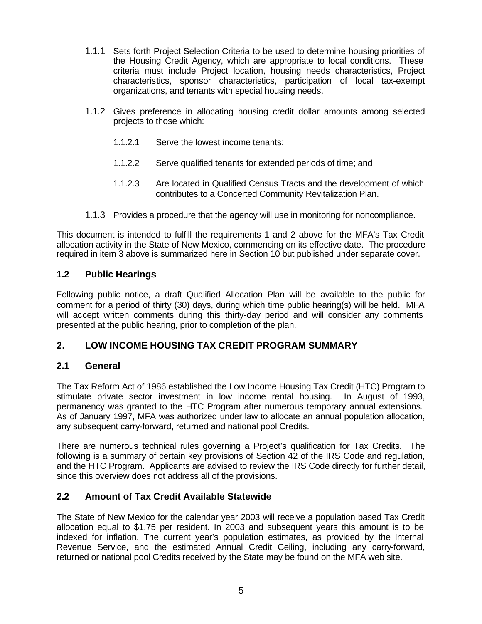- 1.1.1 Sets forth Project Selection Criteria to be used to determine housing priorities of the Housing Credit Agency, which are appropriate to local conditions. These criteria must include Project location, housing needs characteristics, Project characteristics, sponsor characteristics, participation of local tax-exempt organizations, and tenants with special housing needs.
- 1.1.2 Gives preference in allocating housing credit dollar amounts among selected projects to those which:
	- 1.1.2.1 Serve the lowest income tenants;
	- 1.1.2.2 Serve qualified tenants for extended periods of time; and
	- 1.1.2.3 Are located in Qualified Census Tracts and the development of which contributes to a Concerted Community Revitalization Plan.
- 1.1.3 Provides a procedure that the agency will use in monitoring for noncompliance.

This document is intended to fulfill the requirements 1 and 2 above for the MFA's Tax Credit allocation activity in the State of New Mexico, commencing on its effective date. The procedure required in item 3 above is summarized here in Section 10 but published under separate cover.

## **1.2 Public Hearings**

Following public notice, a draft Qualified Allocation Plan will be available to the public for comment for a period of thirty (30) days, during which time public hearing(s) will be held. MFA will accept written comments during this thirty-day period and will consider any comments presented at the public hearing, prior to completion of the plan.

## **2. LOW INCOME HOUSING TAX CREDIT PROGRAM SUMMARY**

## **2.1 General**

The Tax Reform Act of 1986 established the Low Income Housing Tax Credit (HTC) Program to stimulate private sector investment in low income rental housing. In August of 1993, permanency was granted to the HTC Program after numerous temporary annual extensions. As of January 1997, MFA was authorized under law to allocate an annual population allocation, any subsequent carry-forward, returned and national pool Credits.

There are numerous technical rules governing a Project's qualification for Tax Credits. The following is a summary of certain key provisions of Section 42 of the IRS Code and regulation, and the HTC Program. Applicants are advised to review the IRS Code directly for further detail, since this overview does not address all of the provisions.

## **2.2 Amount of Tax Credit Available Statewide**

The State of New Mexico for the calendar year 2003 will receive a population based Tax Credit allocation equal to \$1.75 per resident. In 2003 and subsequent years this amount is to be indexed for inflation. The current year's population estimates, as provided by the Internal Revenue Service, and the estimated Annual Credit Ceiling, including any carry-forward, returned or national pool Credits received by the State may be found on the MFA web site.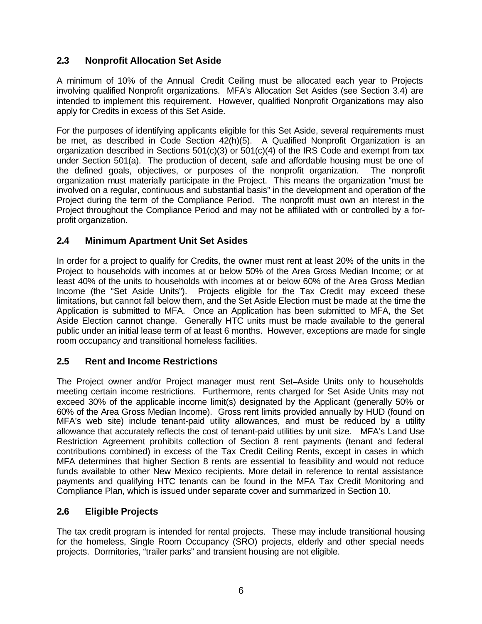# **2.3 Nonprofit Allocation Set Aside**

A minimum of 10% of the Annual Credit Ceiling must be allocated each year to Projects involving qualified Nonprofit organizations. MFA's Allocation Set Asides (see Section 3.4) are intended to implement this requirement. However, qualified Nonprofit Organizations may also apply for Credits in excess of this Set Aside.

For the purposes of identifying applicants eligible for this Set Aside, several requirements must be met, as described in Code Section 42(h)(5). A Qualified Nonprofit Organization is an organization described in Sections  $501(c)(3)$  or  $501(c)(4)$  of the IRS Code and exempt from tax under Section 501(a). The production of decent, safe and affordable housing must be one of the defined goals, objectives, or purposes of the nonprofit organization. The nonprofit organization must materially participate in the Project. This means the organization "must be involved on a regular, continuous and substantial basis" in the development and operation of the Project during the term of the Compliance Period. The nonprofit must own an interest in the Project throughout the Compliance Period and may not be affiliated with or controlled by a forprofit organization.

# **2.4 Minimum Apartment Unit Set Asides**

In order for a project to qualify for Credits, the owner must rent at least 20% of the units in the Project to households with incomes at or below 50% of the Area Gross Median Income; or at least 40% of the units to households with incomes at or below 60% of the Area Gross Median Income (the "Set Aside Units"). Projects eligible for the Tax Credit may exceed these limitations, but cannot fall below them, and the Set Aside Election must be made at the time the Application is submitted to MFA. Once an Application has been submitted to MFA, the Set Aside Election cannot change. Generally HTC units must be made available to the general public under an initial lease term of at least 6 months. However, exceptions are made for single room occupancy and transitional homeless facilities.

# **2.5 Rent and Income Restrictions**

The Project owner and/or Project manager must rent Set-Aside Units only to households meeting certain income restrictions. Furthermore, rents charged for Set Aside Units may not exceed 30% of the applicable income limit(s) designated by the Applicant (generally 50% or 60% of the Area Gross Median Income). Gross rent limits provided annually by HUD (found on MFA's web site) include tenant-paid utility allowances, and must be reduced by a utility allowance that accurately reflects the cost of tenant-paid utilities by unit size. MFA's Land Use Restriction Agreement prohibits collection of Section 8 rent payments (tenant and federal contributions combined) in excess of the Tax Credit Ceiling Rents, except in cases in which MFA determines that higher Section 8 rents are essential to feasibility and would not reduce funds available to other New Mexico recipients. More detail in reference to rental assistance payments and qualifying HTC tenants can be found in the MFA Tax Credit Monitoring and Compliance Plan, which is issued under separate cover and summarized in Section 10.

# **2.6 Eligible Projects**

The tax credit program is intended for rental projects. These may include transitional housing for the homeless, Single Room Occupancy (SRO) projects, elderly and other special needs projects. Dormitories, "trailer parks" and transient housing are not eligible.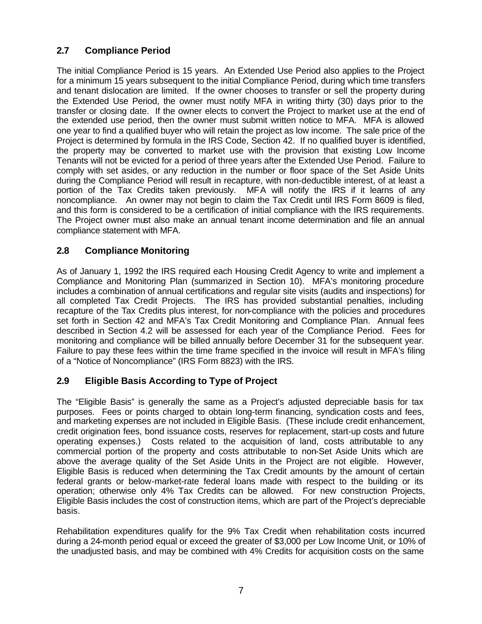# **2.7 Compliance Period**

The initial Compliance Period is 15 years. An Extended Use Period also applies to the Project for a minimum 15 years subsequent to the initial Compliance Period, during which time transfers and tenant dislocation are limited. If the owner chooses to transfer or sell the property during the Extended Use Period, the owner must notify MFA in writing thirty (30) days prior to the transfer or closing date. If the owner elects to convert the Project to market use at the end of the extended use period, then the owner must submit written notice to MFA. MFA is allowed one year to find a qualified buyer who will retain the project as low income. The sale price of the Project is determined by formula in the IRS Code, Section 42. If no qualified buyer is identified, the property may be converted to market use with the provision that existing Low Income Tenants will not be evicted for a period of three years after the Extended Use Period. Failure to comply with set asides, or any reduction in the number or floor space of the Set Aside Units during the Compliance Period will result in recapture, with non-deductible interest, of at least a portion of the Tax Credits taken previously. MFA will notify the IRS if it learns of any noncompliance. An owner may not begin to claim the Tax Credit until IRS Form 8609 is filed, and this form is considered to be a certification of initial compliance with the IRS requirements. The Project owner must also make an annual tenant income determination and file an annual compliance statement with MFA.

## **2.8 Compliance Monitoring**

As of January 1, 1992 the IRS required each Housing Credit Agency to write and implement a Compliance and Monitoring Plan (summarized in Section 10). MFA's monitoring procedure includes a combination of annual certifications and regular site visits (audits and inspections) for all completed Tax Credit Projects. The IRS has provided substantial penalties, including recapture of the Tax Credits plus interest, for non-compliance with the policies and procedures set forth in Section 42 and MFA's Tax Credit Monitoring and Compliance Plan. Annual fees described in Section 4.2 will be assessed for each year of the Compliance Period. Fees for monitoring and compliance will be billed annually before December 31 for the subsequent year. Failure to pay these fees within the time frame specified in the invoice will result in MFA's filing of a "Notice of Noncompliance" (IRS Form 8823) with the IRS.

# **2.9 Eligible Basis According to Type of Project**

The "Eligible Basis" is generally the same as a Project's adjusted depreciable basis for tax purposes. Fees or points charged to obtain long-term financing, syndication costs and fees, and marketing expenses are not included in Eligible Basis. (These include credit enhancement, credit origination fees, bond issuance costs, reserves for replacement, start-up costs and future operating expenses.) Costs related to the acquisition of land, costs attributable to any commercial portion of the property and costs attributable to non-Set Aside Units which are above the average quality of the Set Aside Units in the Project are not eligible. However, Eligible Basis is reduced when determining the Tax Credit amounts by the amount of certain federal grants or below-market-rate federal loans made with respect to the building or its operation; otherwise only 4% Tax Credits can be allowed. For new construction Projects, Eligible Basis includes the cost of construction items, which are part of the Project's depreciable basis.

Rehabilitation expenditures qualify for the 9% Tax Credit when rehabilitation costs incurred during a 24-month period equal or exceed the greater of \$3,000 per Low Income Unit, or 10% of the unadjusted basis, and may be combined with 4% Credits for acquisition costs on the same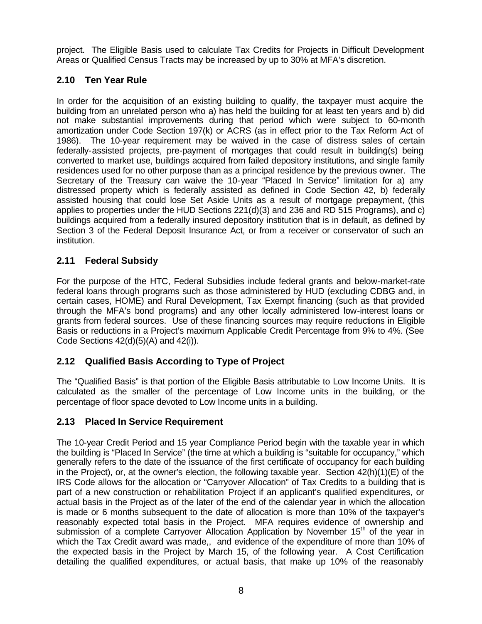project. The Eligible Basis used to calculate Tax Credits for Projects in Difficult Development Areas or Qualified Census Tracts may be increased by up to 30% at MFA's discretion.

# **2.10 Ten Year Rule**

In order for the acquisition of an existing building to qualify, the taxpayer must acquire the building from an unrelated person who a) has held the building for at least ten years and b) did not make substantial improvements during that period which were subject to 60-month amortization under Code Section 197(k) or ACRS (as in effect prior to the Tax Reform Act of 1986). The 10-year requirement may be waived in the case of distress sales of certain federally-assisted projects, pre-payment of mortgages that could result in building(s) being converted to market use, buildings acquired from failed depository institutions, and single family residences used for no other purpose than as a principal residence by the previous owner. The Secretary of the Treasury can waive the 10-year "Placed In Service" limitation for a) any distressed property which is federally assisted as defined in Code Section 42, b) federally assisted housing that could lose Set Aside Units as a result of mortgage prepayment, (this applies to properties under the HUD Sections 221(d)(3) and 236 and RD 515 Programs), and c) buildings acquired from a federally insured depository institution that is in default, as defined by Section 3 of the Federal Deposit Insurance Act, or from a receiver or conservator of such an institution.

# **2.11 Federal Subsidy**

For the purpose of the HTC, Federal Subsidies include federal grants and below-market-rate federal loans through programs such as those administered by HUD (excluding CDBG and, in certain cases, HOME) and Rural Development, Tax Exempt financing (such as that provided through the MFA's bond programs) and any other locally administered low-interest loans or grants from federal sources. Use of these financing sources may require reductions in Eligible Basis or reductions in a Project's maximum Applicable Credit Percentage from 9% to 4%. (See Code Sections 42(d)(5)(A) and 42(i)).

# **2.12 Qualified Basis According to Type of Project**

The "Qualified Basis" is that portion of the Eligible Basis attributable to Low Income Units. It is calculated as the smaller of the percentage of Low Income units in the building, or the percentage of floor space devoted to Low Income units in a building.

# **2.13 Placed In Service Requirement**

The 10-year Credit Period and 15 year Compliance Period begin with the taxable year in which the building is "Placed In Service" (the time at which a building is "suitable for occupancy," which generally refers to the date of the issuance of the first certificate of occupancy for each building in the Project), or, at the owner's election, the following taxable year. Section  $42(h)(1)(E)$  of the IRS Code allows for the allocation or "Carryover Allocation" of Tax Credits to a building that is part of a new construction or rehabilitation Project if an applicant's qualified expenditures, or actual basis in the Project as of the later of the end of the calendar year in which the allocation is made or 6 months subsequent to the date of allocation is more than 10% of the taxpayer's reasonably expected total basis in the Project. MFA requires evidence of ownership and submission of a complete Carryover Allocation Application by November  $15<sup>th</sup>$  of the year in which the Tax Credit award was made,, and evidence of the expenditure of more than 10% of the expected basis in the Project by March 15, of the following year. A Cost Certification detailing the qualified expenditures, or actual basis, that make up 10% of the reasonably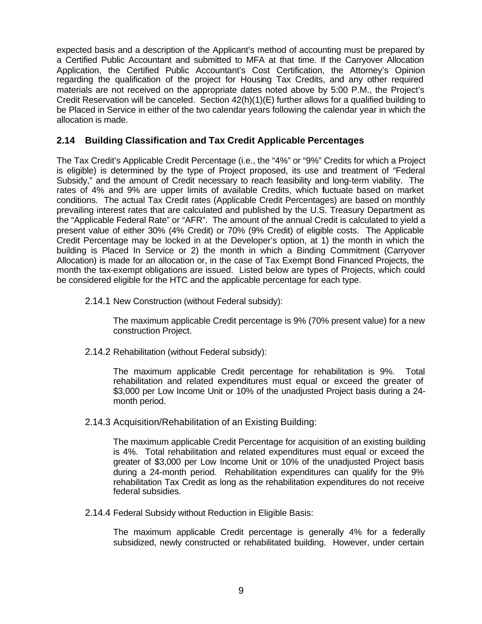expected basis and a description of the Applicant's method of accounting must be prepared by a Certified Public Accountant and submitted to MFA at that time. If the Carryover Allocation Application, the Certified Public Accountant's Cost Certification, the Attorney's Opinion regarding the qualification of the project for Housing Tax Credits, and any other required materials are not received on the appropriate dates noted above by 5:00 P.M., the Project's Credit Reservation will be canceled. Section  $42(h)(1)(E)$  further allows for a qualified building to be Placed in Service in either of the two calendar years following the calendar year in which the allocation is made.

## **2.14 Building Classification and Tax Credit Applicable Percentages**

The Tax Credit's Applicable Credit Percentage (i.e., the "4%" or "9%" Credits for which a Project is eligible) is determined by the type of Project proposed, its use and treatment of "Federal Subsidy," and the amount of Credit necessary to reach feasibility and long-term viability. The rates of 4% and 9% are upper limits of available Credits, which fluctuate based on market conditions. The actual Tax Credit rates (Applicable Credit Percentages) are based on monthly prevailing interest rates that are calculated and published by the U.S. Treasury Department as the "Applicable Federal Rate" or "AFR". The amount of the annual Credit is calculated to yield a present value of either 30% (4% Credit) or 70% (9% Credit) of eligible costs. The Applicable Credit Percentage may be locked in at the Developer's option, at 1) the month in which the building is Placed In Service or 2) the month in which a Binding Commitment (Carryover Allocation) is made for an allocation or, in the case of Tax Exempt Bond Financed Projects, the month the tax-exempt obligations are issued. Listed below are types of Projects, which could be considered eligible for the HTC and the applicable percentage for each type.

2.14.1 New Construction (without Federal subsidy):

The maximum applicable Credit percentage is 9% (70% present value) for a new construction Project.

2.14.2 Rehabilitation (without Federal subsidy):

The maximum applicable Credit percentage for rehabilitation is 9%. Total rehabilitation and related expenditures must equal or exceed the greater of \$3,000 per Low Income Unit or 10% of the unadjusted Project basis during a 24 month period.

2.14.3 Acquisition/Rehabilitation of an Existing Building:

The maximum applicable Credit Percentage for acquisition of an existing building is 4%. Total rehabilitation and related expenditures must equal or exceed the greater of \$3,000 per Low Income Unit or 10% of the unadjusted Project basis during a 24-month period. Rehabilitation expenditures can qualify for the 9% rehabilitation Tax Credit as long as the rehabilitation expenditures do not receive federal subsidies.

2.14.4 Federal Subsidy without Reduction in Eligible Basis:

The maximum applicable Credit percentage is generally 4% for a federally subsidized, newly constructed or rehabilitated building. However, under certain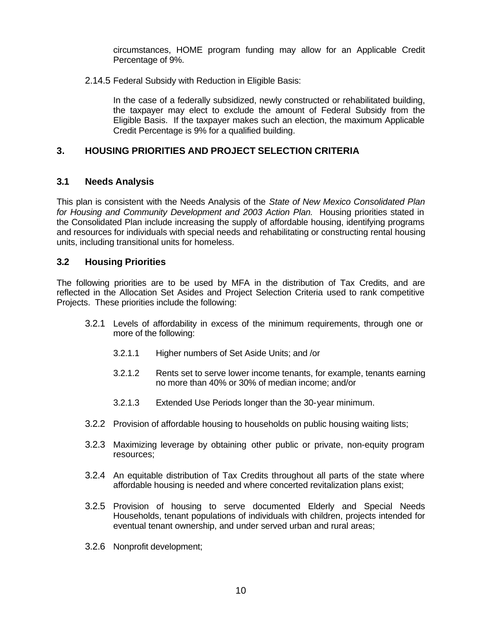circumstances, HOME program funding may allow for an Applicable Credit Percentage of 9%.

2.14.5 Federal Subsidy with Reduction in Eligible Basis:

In the case of a federally subsidized, newly constructed or rehabilitated building, the taxpayer may elect to exclude the amount of Federal Subsidy from the Eligible Basis. If the taxpayer makes such an election, the maximum Applicable Credit Percentage is 9% for a qualified building.

# **3. HOUSING PRIORITIES AND PROJECT SELECTION CRITERIA**

## **3.1 Needs Analysis**

This plan is consistent with the Needs Analysis of the *State of New Mexico Consolidated Plan for Housing and Community Development and 2003 Action Plan.* Housing priorities stated in the Consolidated Plan include increasing the supply of affordable housing, identifying programs and resources for individuals with special needs and rehabilitating or constructing rental housing units, including transitional units for homeless.

## **3.2 Housing Priorities**

The following priorities are to be used by MFA in the distribution of Tax Credits, and are reflected in the Allocation Set Asides and Project Selection Criteria used to rank competitive Projects. These priorities include the following:

- 3.2.1 Levels of affordability in excess of the minimum requirements, through one or more of the following:
	- 3.2.1.1 Higher numbers of Set Aside Units; and /or
	- 3.2.1.2 Rents set to serve lower income tenants, for example, tenants earning no more than 40% or 30% of median income; and/or
	- 3.2.1.3 Extended Use Periods longer than the 30-year minimum.
- 3.2.2 Provision of affordable housing to households on public housing waiting lists;
- 3.2.3 Maximizing leverage by obtaining other public or private, non-equity program resources;
- 3.2.4 An equitable distribution of Tax Credits throughout all parts of the state where affordable housing is needed and where concerted revitalization plans exist;
- 3.2.5 Provision of housing to serve documented Elderly and Special Needs Households, tenant populations of individuals with children, projects intended for eventual tenant ownership, and under served urban and rural areas;
- 3.2.6 Nonprofit development;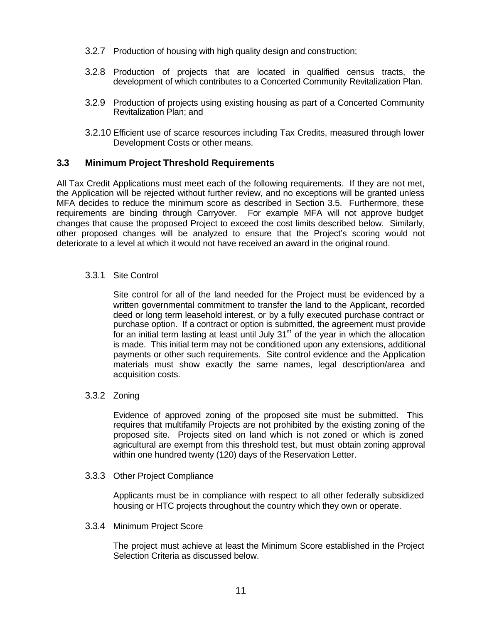- 3.2.7 Production of housing with high quality design and construction;
- 3.2.8 Production of projects that are located in qualified census tracts, the development of which contributes to a Concerted Community Revitalization Plan.
- 3.2.9 Production of projects using existing housing as part of a Concerted Community Revitalization Plan; and
- 3.2.10 Efficient use of scarce resources including Tax Credits, measured through lower Development Costs or other means.

## **3.3 Minimum Project Threshold Requirements**

All Tax Credit Applications must meet each of the following requirements. If they are not met, the Application will be rejected without further review, and no exceptions will be granted unless MFA decides to reduce the minimum score as described in Section 3.5. Furthermore, these requirements are binding through Carryover. For example MFA will not approve budget changes that cause the proposed Project to exceed the cost limits described below. Similarly, other proposed changes will be analyzed to ensure that the Project's scoring would not deteriorate to a level at which it would not have received an award in the original round.

#### 3.3.1 Site Control

Site control for all of the land needed for the Project must be evidenced by a written governmental commitment to transfer the land to the Applicant, recorded deed or long term leasehold interest, or by a fully executed purchase contract or purchase option. If a contract or option is submitted, the agreement must provide for an initial term lasting at least until July  $31<sup>st</sup>$  of the year in which the allocation is made. This initial term may not be conditioned upon any extensions, additional payments or other such requirements. Site control evidence and the Application materials must show exactly the same names, legal description/area and acquisition costs.

#### 3.3.2 Zoning

Evidence of approved zoning of the proposed site must be submitted. This requires that multifamily Projects are not prohibited by the existing zoning of the proposed site. Projects sited on land which is not zoned or which is zoned agricultural are exempt from this threshold test, but must obtain zoning approval within one hundred twenty (120) days of the Reservation Letter.

#### 3.3.3 Other Project Compliance

Applicants must be in compliance with respect to all other federally subsidized housing or HTC projects throughout the country which they own or operate.

#### 3.3.4 Minimum Project Score

The project must achieve at least the Minimum Score established in the Project Selection Criteria as discussed below.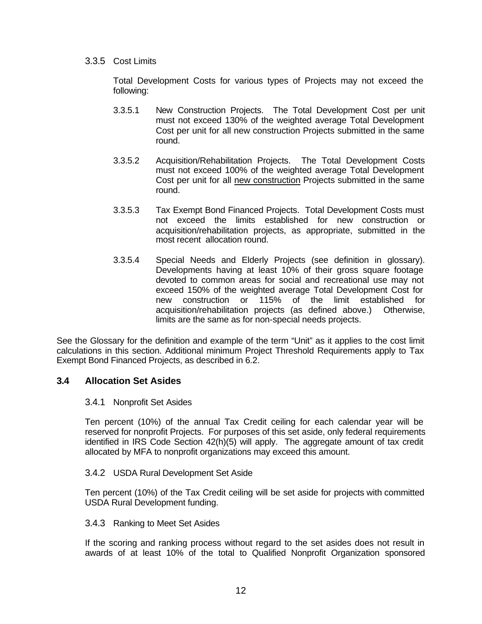#### 3.3.5 Cost Limits

Total Development Costs for various types of Projects may not exceed the following:

- 3.3.5.1 New Construction Projects. The Total Development Cost per unit must not exceed 130% of the weighted average Total Development Cost per unit for all new construction Projects submitted in the same round.
- 3.3.5.2 Acquisition/Rehabilitation Projects. The Total Development Costs must not exceed 100% of the weighted average Total Development Cost per unit for all new construction Projects submitted in the same round.
- 3.3.5.3 Tax Exempt Bond Financed Projects. Total Development Costs must not exceed the limits established for new construction or acquisition/rehabilitation projects, as appropriate, submitted in the most recent allocation round.
- 3.3.5.4 Special Needs and Elderly Projects (see definition in glossary). Developments having at least 10% of their gross square footage devoted to common areas for social and recreational use may not exceed 150% of the weighted average Total Development Cost for new construction or 115% of the limit established for acquisition/rehabilitation projects (as defined above.) Otherwise, limits are the same as for non-special needs projects.

See the Glossary for the definition and example of the term "Unit" as it applies to the cost limit calculations in this section. Additional minimum Project Threshold Requirements apply to Tax Exempt Bond Financed Projects, as described in 6.2.

## **3.4 Allocation Set Asides**

## 3.4.1 Nonprofit Set Asides

Ten percent (10%) of the annual Tax Credit ceiling for each calendar year will be reserved for nonprofit Projects. For purposes of this set aside, only federal requirements identified in IRS Code Section 42(h)(5) will apply. The aggregate amount of tax credit allocated by MFA to nonprofit organizations may exceed this amount.

## 3.4.2 USDA Rural Development Set Aside

Ten percent (10%) of the Tax Credit ceiling will be set aside for projects with committed USDA Rural Development funding.

#### 3.4.3 Ranking to Meet Set Asides

If the scoring and ranking process without regard to the set asides does not result in awards of at least 10% of the total to Qualified Nonprofit Organization sponsored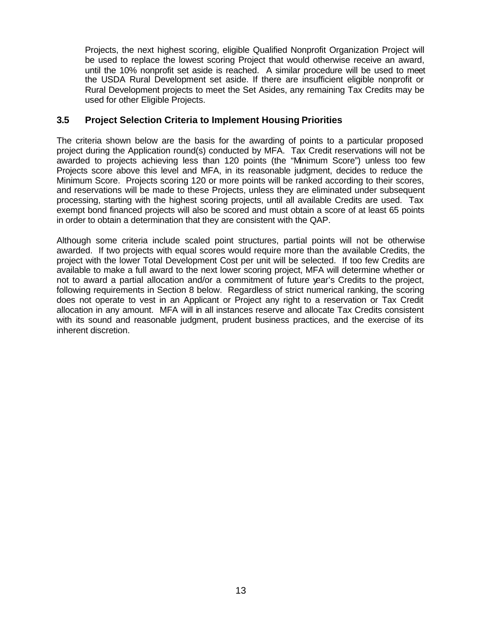Projects, the next highest scoring, eligible Qualified Nonprofit Organization Project will be used to replace the lowest scoring Project that would otherwise receive an award, until the 10% nonprofit set aside is reached. A similar procedure will be used to meet the USDA Rural Development set aside. If there are insufficient eligible nonprofit or Rural Development projects to meet the Set Asides, any remaining Tax Credits may be used for other Eligible Projects.

## **3.5 Project Selection Criteria to Implement Housing Priorities**

The criteria shown below are the basis for the awarding of points to a particular proposed project during the Application round(s) conducted by MFA. Tax Credit reservations will not be awarded to projects achieving less than 120 points (the "Minimum Score") unless too few Projects score above this level and MFA, in its reasonable judgment, decides to reduce the Minimum Score. Projects scoring 120 or more points will be ranked according to their scores, and reservations will be made to these Projects, unless they are eliminated under subsequent processing, starting with the highest scoring projects, until all available Credits are used. Tax exempt bond financed projects will also be scored and must obtain a score of at least 65 points in order to obtain a determination that they are consistent with the QAP.

Although some criteria include scaled point structures, partial points will not be otherwise awarded. If two projects with equal scores would require more than the available Credits, the project with the lower Total Development Cost per unit will be selected. If too few Credits are available to make a full award to the next lower scoring project, MFA will determine whether or not to award a partial allocation and/or a commitment of future year's Credits to the project, following requirements in Section 8 below. Regardless of strict numerical ranking, the scoring does not operate to vest in an Applicant or Project any right to a reservation or Tax Credit allocation in any amount. MFA will in all instances reserve and allocate Tax Credits consistent with its sound and reasonable judgment, prudent business practices, and the exercise of its inherent discretion.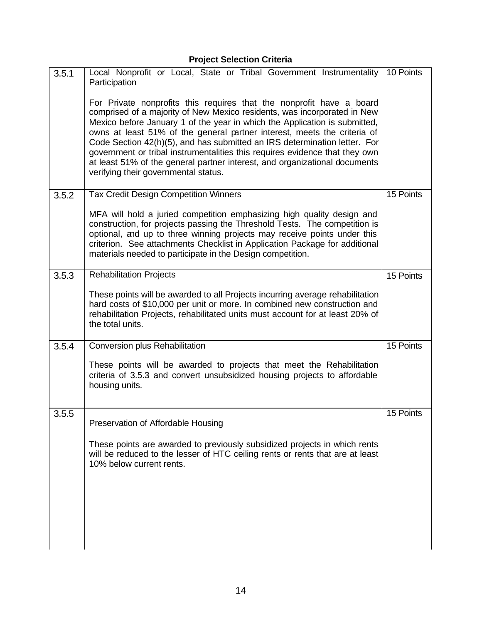# **Project Selection Criteria**

| 3.5.1 | Local Nonprofit or Local, State or Tribal Government Instrumentality<br>Participation                                                                                                                                                                                                                                                                                                                                                                                                                                                                                                        | 10 Points |
|-------|----------------------------------------------------------------------------------------------------------------------------------------------------------------------------------------------------------------------------------------------------------------------------------------------------------------------------------------------------------------------------------------------------------------------------------------------------------------------------------------------------------------------------------------------------------------------------------------------|-----------|
|       | For Private nonprofits this requires that the nonprofit have a board<br>comprised of a majority of New Mexico residents, was incorporated in New<br>Mexico before January 1 of the year in which the Application is submitted,<br>owns at least 51% of the general partner interest, meets the criteria of<br>Code Section 42(h)(5), and has submitted an IRS determination letter. For<br>government or tribal instrumentalities this requires evidence that they own<br>at least 51% of the general partner interest, and organizational documents<br>verifying their governmental status. |           |
| 3.5.2 | <b>Tax Credit Design Competition Winners</b>                                                                                                                                                                                                                                                                                                                                                                                                                                                                                                                                                 | 15 Points |
|       | MFA will hold a juried competition emphasizing high quality design and<br>construction, for projects passing the Threshold Tests. The competition is<br>optional, and up to three winning projects may receive points under this<br>criterion. See attachments Checklist in Application Package for additional<br>materials needed to participate in the Design competition.                                                                                                                                                                                                                 |           |
| 3.5.3 | <b>Rehabilitation Projects</b>                                                                                                                                                                                                                                                                                                                                                                                                                                                                                                                                                               | 15 Points |
|       | These points will be awarded to all Projects incurring average rehabilitation<br>hard costs of \$10,000 per unit or more. In combined new construction and<br>rehabilitation Projects, rehabilitated units must account for at least 20% of<br>the total units.                                                                                                                                                                                                                                                                                                                              |           |
| 3.5.4 | Conversion plus Rehabilitation                                                                                                                                                                                                                                                                                                                                                                                                                                                                                                                                                               | 15 Points |
|       | These points will be awarded to projects that meet the Rehabilitation<br>criteria of 3.5.3 and convert unsubsidized housing projects to affordable<br>housing units.                                                                                                                                                                                                                                                                                                                                                                                                                         |           |
| 3.5.5 | Preservation of Affordable Housing                                                                                                                                                                                                                                                                                                                                                                                                                                                                                                                                                           | 15 Points |
|       | These points are awarded to previously subsidized projects in which rents<br>will be reduced to the lesser of HTC ceiling rents or rents that are at least<br>10% below current rents.                                                                                                                                                                                                                                                                                                                                                                                                       |           |
|       |                                                                                                                                                                                                                                                                                                                                                                                                                                                                                                                                                                                              |           |
|       |                                                                                                                                                                                                                                                                                                                                                                                                                                                                                                                                                                                              |           |
|       |                                                                                                                                                                                                                                                                                                                                                                                                                                                                                                                                                                                              |           |
|       |                                                                                                                                                                                                                                                                                                                                                                                                                                                                                                                                                                                              |           |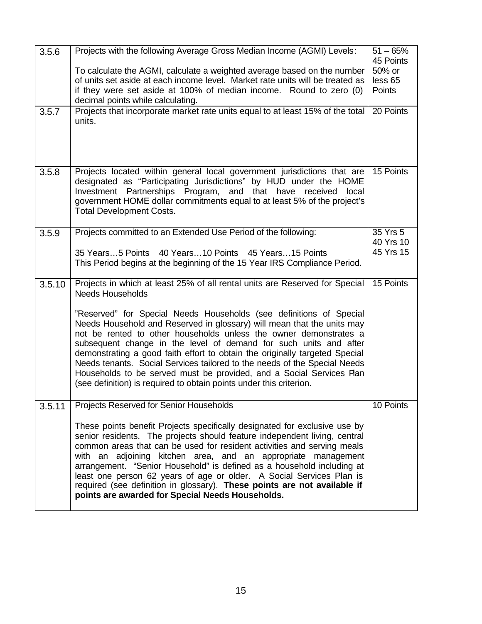| 3.5.6  | Projects with the following Average Gross Median Income (AGMI) Levels:<br>$51 - 65%$<br>45 Points                                                                                                                                                                                                                                                                                                                                                                                                                                                                                                  |                       |  |  |  |  |
|--------|----------------------------------------------------------------------------------------------------------------------------------------------------------------------------------------------------------------------------------------------------------------------------------------------------------------------------------------------------------------------------------------------------------------------------------------------------------------------------------------------------------------------------------------------------------------------------------------------------|-----------------------|--|--|--|--|
|        | To calculate the AGMI, calculate a weighted average based on the number                                                                                                                                                                                                                                                                                                                                                                                                                                                                                                                            |                       |  |  |  |  |
|        | of units set aside at each income level. Market rate units will be treated as                                                                                                                                                                                                                                                                                                                                                                                                                                                                                                                      |                       |  |  |  |  |
|        | if they were set aside at 100% of median income. Round to zero (0)<br>Points<br>decimal points while calculating.<br>20 Points                                                                                                                                                                                                                                                                                                                                                                                                                                                                     |                       |  |  |  |  |
| 3.5.7  | Projects that incorporate market rate units equal to at least 15% of the total<br>units.                                                                                                                                                                                                                                                                                                                                                                                                                                                                                                           |                       |  |  |  |  |
| 3.5.8  | Projects located within general local government jurisdictions that are<br>designated as "Participating Jurisdictions" by HUD under the HOME<br>Investment Partnerships Program, and that have received<br>local<br>government HOME dollar commitments equal to at least 5% of the project's<br><b>Total Development Costs.</b>                                                                                                                                                                                                                                                                    |                       |  |  |  |  |
| 3.5.9  | Projects committed to an Extended Use Period of the following:                                                                                                                                                                                                                                                                                                                                                                                                                                                                                                                                     | 35 Yrs 5<br>40 Yrs 10 |  |  |  |  |
|        | 35 Years5 Points 40 Years10 Points 45 Years15 Points                                                                                                                                                                                                                                                                                                                                                                                                                                                                                                                                               | 45 Yrs 15             |  |  |  |  |
|        | This Period begins at the beginning of the 15 Year IRS Compliance Period.                                                                                                                                                                                                                                                                                                                                                                                                                                                                                                                          |                       |  |  |  |  |
| 3.5.10 | Projects in which at least 25% of all rental units are Reserved for Special<br><b>Needs Households</b>                                                                                                                                                                                                                                                                                                                                                                                                                                                                                             | 15 Points             |  |  |  |  |
|        | "Reserved" for Special Needs Households (see definitions of Special<br>Needs Household and Reserved in glossary) will mean that the units may<br>not be rented to other households unless the owner demonstrates a<br>subsequent change in the level of demand for such units and after<br>demonstrating a good faith effort to obtain the originally targeted Special<br>Needs tenants. Social Services tailored to the needs of the Special Needs<br>Households to be served must be provided, and a Social Services Plan<br>(see definition) is required to obtain points under this criterion. |                       |  |  |  |  |
| 3.5.11 | Projects Reserved for Senior Households                                                                                                                                                                                                                                                                                                                                                                                                                                                                                                                                                            | 10 Points             |  |  |  |  |
|        | These points benefit Projects specifically designated for exclusive use by<br>senior residents. The projects should feature independent living, central<br>common areas that can be used for resident activities and serving meals<br>with an adjoining kitchen area, and an appropriate management<br>arrangement. "Senior Household" is defined as a household including at<br>least one person 62 years of age or older. A Social Services Plan is<br>required (see definition in glossary). These points are not available if<br>points are awarded for Special Needs Households.              |                       |  |  |  |  |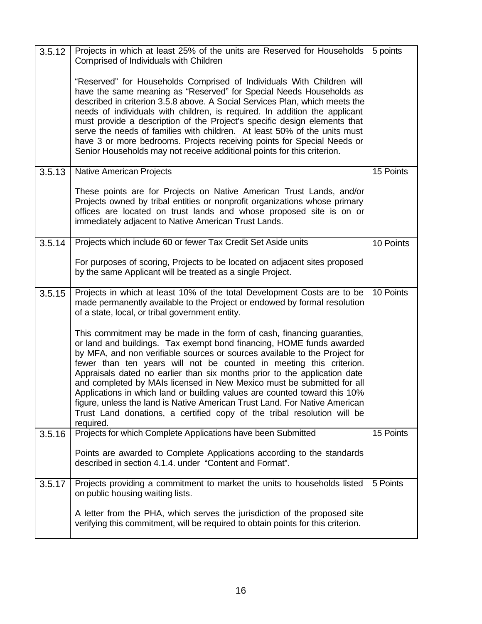| 3.5.12 | Projects in which at least 25% of the units are Reserved for Households<br>Comprised of Individuals with Children                                                                                                                                                                                                                                                                                                                                                                                                                                                                                                                                                                                             |           |  |  |  |  |
|--------|---------------------------------------------------------------------------------------------------------------------------------------------------------------------------------------------------------------------------------------------------------------------------------------------------------------------------------------------------------------------------------------------------------------------------------------------------------------------------------------------------------------------------------------------------------------------------------------------------------------------------------------------------------------------------------------------------------------|-----------|--|--|--|--|
|        | "Reserved" for Households Comprised of Individuals With Children will<br>have the same meaning as "Reserved" for Special Needs Households as<br>described in criterion 3.5.8 above. A Social Services Plan, which meets the<br>needs of individuals with children, is required. In addition the applicant<br>must provide a description of the Project's specific design elements that<br>serve the needs of families with children. At least 50% of the units must<br>have 3 or more bedrooms. Projects receiving points for Special Needs or<br>Senior Households may not receive additional points for this criterion.                                                                                     |           |  |  |  |  |
| 3.5.13 | Native American Projects                                                                                                                                                                                                                                                                                                                                                                                                                                                                                                                                                                                                                                                                                      |           |  |  |  |  |
|        | These points are for Projects on Native American Trust Lands, and/or<br>Projects owned by tribal entities or nonprofit organizations whose primary<br>offices are located on trust lands and whose proposed site is on or<br>immediately adjacent to Native American Trust Lands.                                                                                                                                                                                                                                                                                                                                                                                                                             |           |  |  |  |  |
| 3.5.14 | Projects which include 60 or fewer Tax Credit Set Aside units                                                                                                                                                                                                                                                                                                                                                                                                                                                                                                                                                                                                                                                 |           |  |  |  |  |
|        | For purposes of scoring, Projects to be located on adjacent sites proposed<br>by the same Applicant will be treated as a single Project.                                                                                                                                                                                                                                                                                                                                                                                                                                                                                                                                                                      |           |  |  |  |  |
| 3.5.15 | Projects in which at least 10% of the total Development Costs are to be<br>made permanently available to the Project or endowed by formal resolution<br>of a state, local, or tribal government entity.                                                                                                                                                                                                                                                                                                                                                                                                                                                                                                       | 10 Points |  |  |  |  |
|        | This commitment may be made in the form of cash, financing guaranties,<br>or land and buildings. Tax exempt bond financing, HOME funds awarded<br>by MFA, and non verifiable sources or sources available to the Project for<br>fewer than ten years will not be counted in meeting this criterion.<br>Appraisals dated no earlier than six months prior to the application date<br>and completed by MAIs licensed in New Mexico must be submitted for all<br>Applications in which land or building values are counted toward this 10%<br>figure, unless the land is Native American Trust Land. For Native American<br>Trust Land donations, a certified copy of the tribal resolution will be<br>required. |           |  |  |  |  |
| 3.5.16 | Projects for which Complete Applications have been Submitted                                                                                                                                                                                                                                                                                                                                                                                                                                                                                                                                                                                                                                                  | 15 Points |  |  |  |  |
|        | Points are awarded to Complete Applications according to the standards<br>described in section 4.1.4. under "Content and Format".                                                                                                                                                                                                                                                                                                                                                                                                                                                                                                                                                                             |           |  |  |  |  |
| 3.5.17 | Projects providing a commitment to market the units to households listed<br>on public housing waiting lists.                                                                                                                                                                                                                                                                                                                                                                                                                                                                                                                                                                                                  | 5 Points  |  |  |  |  |
|        | A letter from the PHA, which serves the jurisdiction of the proposed site<br>verifying this commitment, will be required to obtain points for this criterion.                                                                                                                                                                                                                                                                                                                                                                                                                                                                                                                                                 |           |  |  |  |  |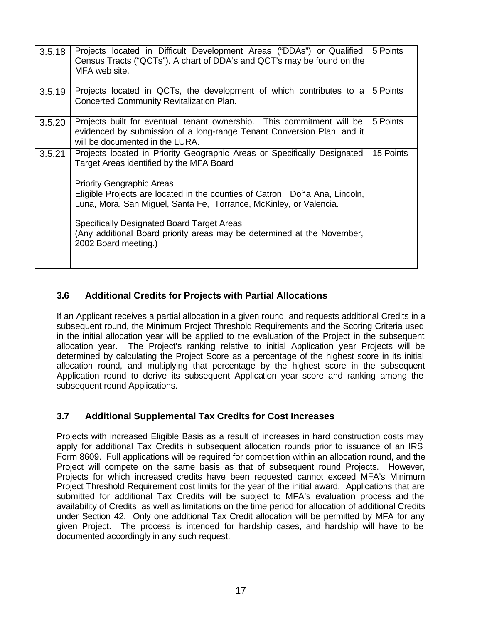| 3.5.18 | Projects located in Difficult Development Areas ("DDAs") or Qualified<br>Census Tracts ("QCTs"). A chart of DDA's and QCT's may be found on the<br>MFA web site.                      | 5 Points  |
|--------|---------------------------------------------------------------------------------------------------------------------------------------------------------------------------------------|-----------|
| 3.5.19 | Projects located in QCTs, the development of which contributes to a<br>Concerted Community Revitalization Plan.                                                                       | 5 Points  |
| 3.5.20 | Projects built for eventual tenant ownership. This commitment will be<br>evidenced by submission of a long-range Tenant Conversion Plan, and it<br>will be documented in the LURA.    | 5 Points  |
| 3.5.21 | Projects located in Priority Geographic Areas or Specifically Designated<br>Target Areas identified by the MFA Board                                                                  | 15 Points |
|        | <b>Priority Geographic Areas</b><br>Eligible Projects are located in the counties of Catron, Doña Ana, Lincoln,<br>Luna, Mora, San Miguel, Santa Fe, Torrance, McKinley, or Valencia. |           |
|        | Specifically Designated Board Target Areas<br>(Any additional Board priority areas may be determined at the November,<br>2002 Board meeting.)                                         |           |
|        |                                                                                                                                                                                       |           |

# **3.6 Additional Credits for Projects with Partial Allocations**

If an Applicant receives a partial allocation in a given round, and requests additional Credits in a subsequent round, the Minimum Project Threshold Requirements and the Scoring Criteria used in the initial allocation year will be applied to the evaluation of the Project in the subsequent allocation year. The Project's ranking relative to initial Application year Projects will be determined by calculating the Project Score as a percentage of the highest score in its initial allocation round, and multiplying that percentage by the highest score in the subsequent Application round to derive its subsequent Application year score and ranking among the subsequent round Applications.

# **3.7 Additional Supplemental Tax Credits for Cost Increases**

Projects with increased Eligible Basis as a result of increases in hard construction costs may apply for additional Tax Credits in subsequent allocation rounds prior to issuance of an IRS Form 8609. Full applications will be required for competition within an allocation round, and the Project will compete on the same basis as that of subsequent round Projects. However, Projects for which increased credits have been requested cannot exceed MFA's Minimum Project Threshold Requirement cost limits for the year of the initial award. Applications that are submitted for additional Tax Credits will be subject to MFA's evaluation process and the availability of Credits, as well as limitations on the time period for allocation of additional Credits under Section 42. Only one additional Tax Credit allocation will be permitted by MFA for any given Project. The process is intended for hardship cases, and hardship will have to be documented accordingly in any such request.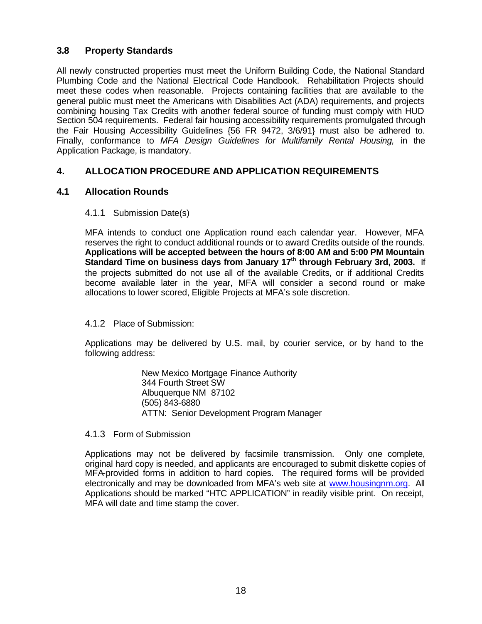## **3.8 Property Standards**

All newly constructed properties must meet the Uniform Building Code, the National Standard Plumbing Code and the National Electrical Code Handbook. Rehabilitation Projects should meet these codes when reasonable. Projects containing facilities that are available to the general public must meet the Americans with Disabilities Act (ADA) requirements, and projects combining housing Tax Credits with another federal source of funding must comply with HUD Section 504 requirements. Federal fair housing accessibility requirements promulgated through the Fair Housing Accessibility Guidelines {56 FR 9472, 3/6/91} must also be adhered to. Finally, conformance to *MFA Design Guidelines for Multifamily Rental Housing,* in the Application Package, is mandatory.

## **4. ALLOCATION PROCEDURE AND APPLICATION REQUIREMENTS**

## **4.1 Allocation Rounds**

## 4.1.1 Submission Date(s)

MFA intends to conduct one Application round each calendar year. However, MFA reserves the right to conduct additional rounds or to award Credits outside of the rounds. **Applications will be accepted between the hours of 8:00 AM and 5:00 PM Mountain Standard Time on business days from January 17th through February 3rd, 2003.** If the projects submitted do not use all of the available Credits, or if additional Credits become available later in the year, MFA will consider a second round or make allocations to lower scored, Eligible Projects at MFA's sole discretion.

## 4.1.2 Place of Submission:

Applications may be delivered by U.S. mail, by courier service, or by hand to the following address:

> New Mexico Mortgage Finance Authority 344 Fourth Street SW Albuquerque NM 87102 (505) 843-6880 ATTN: Senior Development Program Manager

## 4.1.3 Form of Submission

Applications may not be delivered by facsimile transmission. Only one complete, original hard copy is needed, and applicants are encouraged to submit diskette copies of MFA-provided forms in addition to hard copies. The required forms will be provided electronically and may be downloaded from MFA's web site at www.housingnm.org. All Applications should be marked "HTC APPLICATION" in readily visible print. On receipt, MFA will date and time stamp the cover.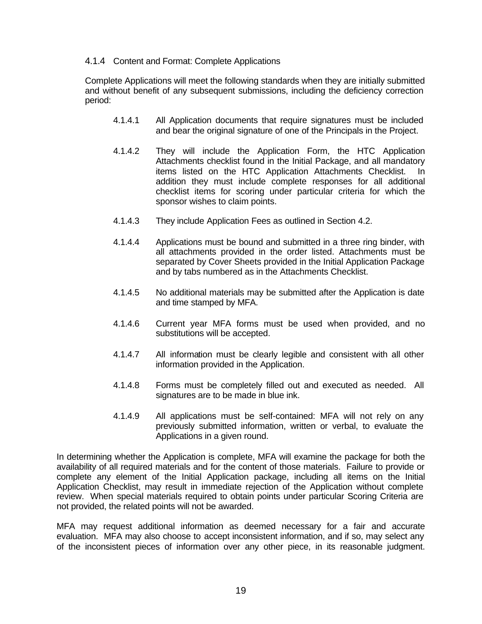## 4.1.4 Content and Format: Complete Applications

Complete Applications will meet the following standards when they are initially submitted and without benefit of any subsequent submissions, including the deficiency correction period:

- 4.1.4.1 All Application documents that require signatures must be included and bear the original signature of one of the Principals in the Project.
- 4.1.4.2 They will include the Application Form, the HTC Application Attachments checklist found in the Initial Package, and all mandatory items listed on the HTC Application Attachments Checklist. In addition they must include complete responses for all additional checklist items for scoring under particular criteria for which the sponsor wishes to claim points.
- 4.1.4.3 They include Application Fees as outlined in Section 4.2.
- 4.1.4.4 Applications must be bound and submitted in a three ring binder, with all attachments provided in the order listed. Attachments must be separated by Cover Sheets provided in the Initial Application Package and by tabs numbered as in the Attachments Checklist.
- 4.1.4.5 No additional materials may be submitted after the Application is date and time stamped by MFA.
- 4.1.4.6 Current year MFA forms must be used when provided, and no substitutions will be accepted.
- 4.1.4.7 All information must be clearly legible and consistent with all other information provided in the Application.
- 4.1.4.8 Forms must be completely filled out and executed as needed. All signatures are to be made in blue ink.
- 4.1.4.9 All applications must be self-contained: MFA will not rely on any previously submitted information, written or verbal, to evaluate the Applications in a given round.

In determining whether the Application is complete, MFA will examine the package for both the availability of all required materials and for the content of those materials. Failure to provide or complete any element of the Initial Application package, including all items on the Initial Application Checklist, may result in immediate rejection of the Application without complete review. When special materials required to obtain points under particular Scoring Criteria are not provided, the related points will not be awarded.

MFA may request additional information as deemed necessary for a fair and accurate evaluation. MFA may also choose to accept inconsistent information, and if so, may select any of the inconsistent pieces of information over any other piece, in its reasonable judgment.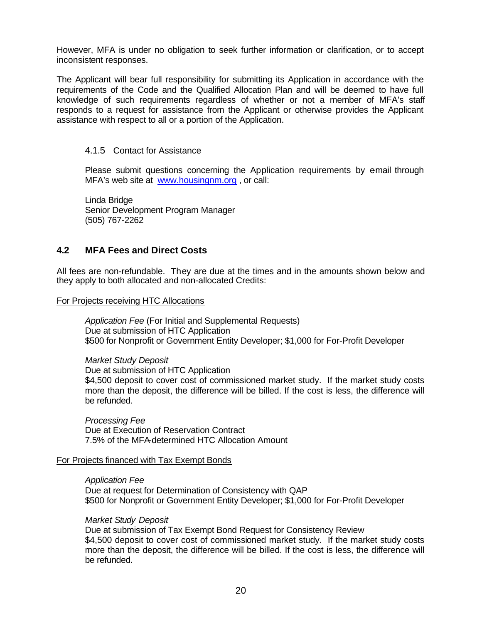However, MFA is under no obligation to seek further information or clarification, or to accept inconsistent responses.

The Applicant will bear full responsibility for submitting its Application in accordance with the requirements of the Code and the Qualified Allocation Plan and will be deemed to have full knowledge of such requirements regardless of whether or not a member of MFA's staff responds to a request for assistance from the Applicant or otherwise provides the Applicant assistance with respect to all or a portion of the Application.

#### 4.1.5 Contact for Assistance

Please submit questions concerning the Application requirements by e-mail through MFA's web site at www.housingnm.org , or call:

Linda Bridge Senior Development Program Manager (505) 767-2262

## **4.2 MFA Fees and Direct Costs**

All fees are non-refundable. They are due at the times and in the amounts shown below and they apply to both allocated and non-allocated Credits:

For Projects receiving HTC Allocations

*Application Fee* (For Initial and Supplemental Requests) Due at submission of HTC Application \$500 for Nonprofit or Government Entity Developer; \$1,000 for For-Profit Developer

#### *Market Study Deposit*

Due at submission of HTC Application \$4,500 deposit to cover cost of commissioned market study. If the market study costs more than the deposit, the difference will be billed. If the cost is less, the difference will be refunded.

*Processing Fee* Due at Execution of Reservation Contract 7.5% of the MFA-determined HTC Allocation Amount

#### For Projects financed with Tax Exempt Bonds

*Application Fee* Due at request for Determination of Consistency with QAP \$500 for Nonprofit or Government Entity Developer; \$1,000 for For-Profit Developer

#### *Market Study Deposit*

Due at submission of Tax Exempt Bond Request for Consistency Review \$4,500 deposit to cover cost of commissioned market study. If the market study costs more than the deposit, the difference will be billed. If the cost is less, the difference will be refunded.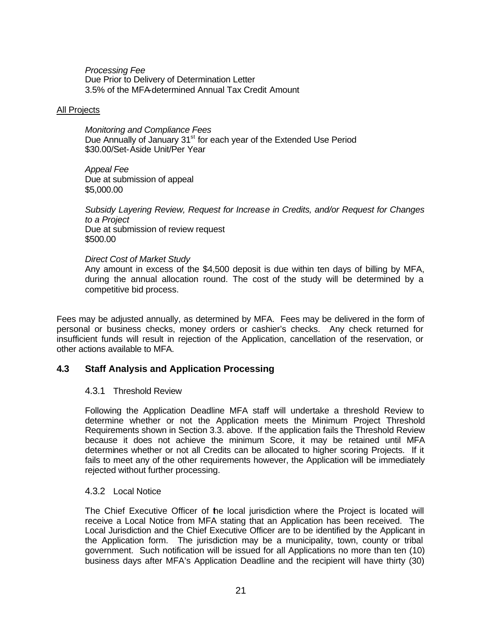*Processing Fee* Due Prior to Delivery of Determination Letter 3.5% of the MFA-determined Annual Tax Credit Amount

#### All Projects

*Monitoring and Compliance Fees* Due Annually of January 31<sup>st</sup> for each year of the Extended Use Period \$30.00/Set-Aside Unit/Per Year

*Appeal Fee* Due at submission of appeal \$5,000.00

*Subsidy Layering Review, Request for Increase in Credits, and/or Request for Changes to a Project* Due at submission of review request \$500.00

#### *Direct Cost of Market Study*

Any amount in excess of the \$4,500 deposit is due within ten days of billing by MFA, during the annual allocation round. The cost of the study will be determined by a competitive bid process.

Fees may be adjusted annually, as determined by MFA. Fees may be delivered in the form of personal or business checks, money orders or cashier's checks. Any check returned for insufficient funds will result in rejection of the Application, cancellation of the reservation, or other actions available to MFA.

## **4.3 Staff Analysis and Application Processing**

## 4.3.1 Threshold Review

Following the Application Deadline MFA staff will undertake a threshold Review to determine whether or not the Application meets the Minimum Project Threshold Requirements shown in Section 3.3. above. If the application fails the Threshold Review because it does not achieve the minimum Score, it may be retained until MFA determines whether or not all Credits can be allocated to higher scoring Projects. If it fails to meet any of the other requirements however, the Application will be immediately rejected without further processing.

#### 4.3.2 Local Notice

The Chief Executive Officer of the local jurisdiction where the Project is located will receive a Local Notice from MFA stating that an Application has been received. The Local Jurisdiction and the Chief Executive Officer are to be identified by the Applicant in the Application form. The jurisdiction may be a municipality, town, county or tribal government. Such notification will be issued for all Applications no more than ten (10) business days after MFA's Application Deadline and the recipient will have thirty (30)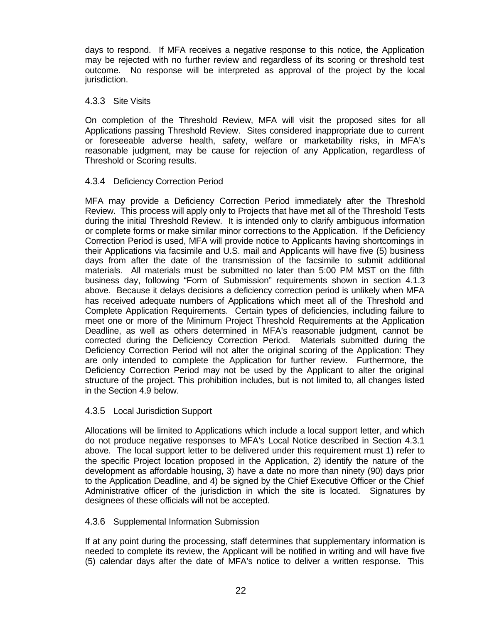days to respond. If MFA receives a negative response to this notice, the Application may be rejected with no further review and regardless of its scoring or threshold test outcome. No response will be interpreted as approval of the project by the local jurisdiction.

#### 4.3.3 Site Visits

On completion of the Threshold Review, MFA will visit the proposed sites for all Applications passing Threshold Review. Sites considered inappropriate due to current or foreseeable adverse health, safety, welfare or marketability risks, in MFA's reasonable judgment, may be cause for rejection of any Application, regardless of Threshold or Scoring results.

## 4.3.4 Deficiency Correction Period

MFA may provide a Deficiency Correction Period immediately after the Threshold Review. This process will apply only to Projects that have met all of the Threshold Tests during the initial Threshold Review. It is intended only to clarify ambiguous information or complete forms or make similar minor corrections to the Application. If the Deficiency Correction Period is used, MFA will provide notice to Applicants having shortcomings in their Applications via facsimile and U.S. mail and Applicants will have five (5) business days from after the date of the transmission of the facsimile to submit additional materials. All materials must be submitted no later than 5:00 PM MST on the fifth business day, following "Form of Submission" requirements shown in section 4.1.3 above. Because it delays decisions a deficiency correction period is unlikely when MFA has received adequate numbers of Applications which meet all of the Threshold and Complete Application Requirements. Certain types of deficiencies, including failure to meet one or more of the Minimum Project Threshold Requirements at the Application Deadline, as well as others determined in MFA's reasonable judgment, cannot be corrected during the Deficiency Correction Period. Materials submitted during the Deficiency Correction Period will not alter the original scoring of the Application: They are only intended to complete the Application for further review. Furthermore, the Deficiency Correction Period may not be used by the Applicant to alter the original structure of the project. This prohibition includes, but is not limited to, all changes listed in the Section 4.9 below.

## 4.3.5 Local Jurisdiction Support

Allocations will be limited to Applications which include a local support letter, and which do not produce negative responses to MFA's Local Notice described in Section 4.3.1 above. The local support letter to be delivered under this requirement must 1) refer to the specific Project location proposed in the Application, 2) identify the nature of the development as affordable housing, 3) have a date no more than ninety (90) days prior to the Application Deadline, and 4) be signed by the Chief Executive Officer or the Chief Administrative officer of the jurisdiction in which the site is located. Signatures by designees of these officials will not be accepted.

#### 4.3.6 Supplemental Information Submission

If at any point during the processing, staff determines that supplementary information is needed to complete its review, the Applicant will be notified in writing and will have five (5) calendar days after the date of MFA's notice to deliver a written response. This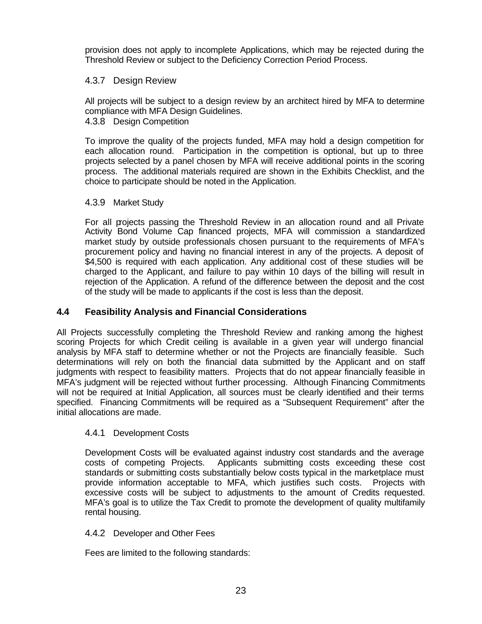provision does not apply to incomplete Applications, which may be rejected during the Threshold Review or subject to the Deficiency Correction Period Process.

## 4.3.7 Design Review

All projects will be subject to a design review by an architect hired by MFA to determine compliance with MFA Design Guidelines.

4.3.8 Design Competition

To improve the quality of the projects funded, MFA may hold a design competition for each allocation round. Participation in the competition is optional, but up to three projects selected by a panel chosen by MFA will receive additional points in the scoring process. The additional materials required are shown in the Exhibits Checklist, and the choice to participate should be noted in the Application.

## 4.3.9 Market Study

For all projects passing the Threshold Review in an allocation round and all Private Activity Bond Volume Cap financed projects, MFA will commission a standardized market study by outside professionals chosen pursuant to the requirements of MFA's procurement policy and having no financial interest in any of the projects. A deposit of \$4,500 is required with each application. Any additional cost of these studies will be charged to the Applicant, and failure to pay within 10 days of the billing will result in rejection of the Application. A refund of the difference between the deposit and the cost of the study will be made to applicants if the cost is less than the deposit.

## **4.4 Feasibility Analysis and Financial Considerations**

All Projects successfully completing the Threshold Review and ranking among the highest scoring Projects for which Credit ceiling is available in a given year will undergo financial analysis by MFA staff to determine whether or not the Projects are financially feasible. Such determinations will rely on both the financial data submitted by the Applicant and on staff judgments with respect to feasibility matters. Projects that do not appear financially feasible in MFA's judgment will be rejected without further processing. Although Financing Commitments will not be required at Initial Application, all sources must be clearly identified and their terms specified. Financing Commitments will be required as a "Subsequent Requirement" after the initial allocations are made.

## 4.4.1 Development Costs

Development Costs will be evaluated against industry cost standards and the average costs of competing Projects. Applicants submitting costs exceeding these cost standards or submitting costs substantially below costs typical in the marketplace must provide information acceptable to MFA, which justifies such costs. Projects with excessive costs will be subject to adjustments to the amount of Credits requested. MFA's goal is to utilize the Tax Credit to promote the development of quality multifamily rental housing.

## 4.4.2 Developer and Other Fees

Fees are limited to the following standards: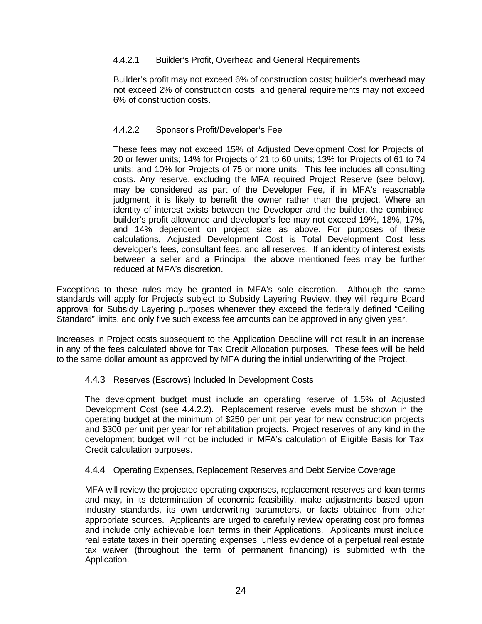## 4.4.2.1 Builder's Profit, Overhead and General Requirements

Builder's profit may not exceed 6% of construction costs; builder's overhead may not exceed 2% of construction costs; and general requirements may not exceed 6% of construction costs.

## 4.4.2.2 Sponsor's Profit/Developer's Fee

These fees may not exceed 15% of Adjusted Development Cost for Projects of 20 or fewer units; 14% for Projects of 21 to 60 units; 13% for Projects of 61 to 74 units; and 10% for Projects of 75 or more units. This fee includes all consulting costs. Any reserve, excluding the MFA required Project Reserve (see below), may be considered as part of the Developer Fee, if in MFA's reasonable judgment, it is likely to benefit the owner rather than the project. Where an identity of interest exists between the Developer and the builder, the combined builder's profit allowance and developer's fee may not exceed 19%, 18%, 17%, and 14% dependent on project size as above. For purposes of these calculations, Adjusted Development Cost is Total Development Cost less developer's fees, consultant fees, and all reserves. If an identity of interest exists between a seller and a Principal, the above mentioned fees may be further reduced at MFA's discretion.

Exceptions to these rules may be granted in MFA's sole discretion. Although the same standards will apply for Projects subject to Subsidy Layering Review, they will require Board approval for Subsidy Layering purposes whenever they exceed the federally defined "Ceiling Standard" limits, and only five such excess fee amounts can be approved in any given year.

Increases in Project costs subsequent to the Application Deadline will not result in an increase in any of the fees calculated above for Tax Credit Allocation purposes. These fees will be held to the same dollar amount as approved by MFA during the initial underwriting of the Project.

## 4.4.3 Reserves (Escrows) Included In Development Costs

The development budget must include an operating reserve of 1.5% of Adjusted Development Cost (see 4.4.2.2). Replacement reserve levels must be shown in the operating budget at the minimum of \$250 per unit per year for new construction projects and \$300 per unit per year for rehabilitation projects. Project reserves of any kind in the development budget will not be included in MFA's calculation of Eligible Basis for Tax Credit calculation purposes.

## 4.4.4 Operating Expenses, Replacement Reserves and Debt Service Coverage

MFA will review the projected operating expenses, replacement reserves and loan terms and may, in its determination of economic feasibility, make adjustments based upon industry standards, its own underwriting parameters, or facts obtained from other appropriate sources. Applicants are urged to carefully review operating cost pro formas and include only achievable loan terms in their Applications. Applicants must include real estate taxes in their operating expenses, unless evidence of a perpetual real estate tax waiver (throughout the term of permanent financing) is submitted with the Application.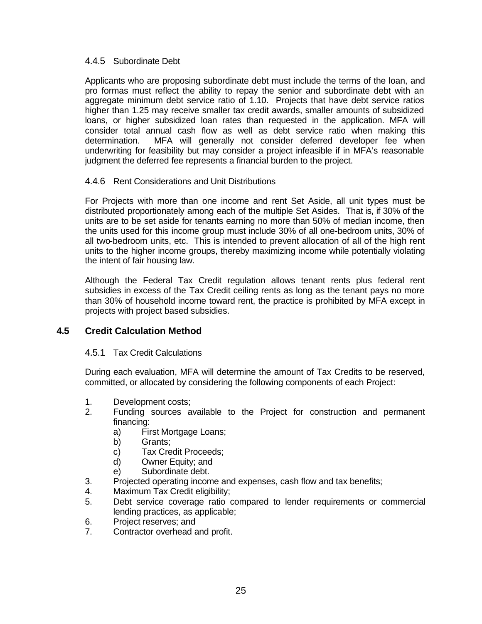#### 4.4.5 Subordinate Debt

Applicants who are proposing subordinate debt must include the terms of the loan, and pro formas must reflect the ability to repay the senior and subordinate debt with an aggregate minimum debt service ratio of 1.10. Projects that have debt service ratios higher than 1.25 may receive smaller tax credit awards, smaller amounts of subsidized loans, or higher subsidized loan rates than requested in the application. MFA will consider total annual cash flow as well as debt service ratio when making this determination. MFA will generally not consider deferred developer fee when underwriting for feasibility but may consider a project infeasible if in MFA's reasonable judgment the deferred fee represents a financial burden to the project.

## 4.4.6 Rent Considerations and Unit Distributions

For Projects with more than one income and rent Set Aside, all unit types must be distributed proportionately among each of the multiple Set Asides. That is, if 30% of the units are to be set aside for tenants earning no more than 50% of median income, then the units used for this income group must include 30% of all one-bedroom units, 30% of all two-bedroom units, etc. This is intended to prevent allocation of all of the high rent units to the higher income groups, thereby maximizing income while potentially violating the intent of fair housing law.

Although the Federal Tax Credit regulation allows tenant rents plus federal rent subsidies in excess of the Tax Credit ceiling rents as long as the tenant pays no more than 30% of household income toward rent, the practice is prohibited by MFA except in projects with project based subsidies.

## **4.5 Credit Calculation Method**

## 4.5.1 Tax Credit Calculations

During each evaluation, MFA will determine the amount of Tax Credits to be reserved, committed, or allocated by considering the following components of each Project:

- 1. Development costs;
- 2. Funding sources available to the Project for construction and permanent financing:
	- a) First Mortgage Loans;
	- b) Grants;
	- c) Tax Credit Proceeds;
	- d) Owner Equity; and
	- e) Subordinate debt.
- 3. Projected operating income and expenses, cash flow and tax benefits;
- 4. Maximum Tax Credit eligibility;
- 5. Debt service coverage ratio compared to lender requirements or commercial lending practices, as applicable;
- 6. Project reserves; and
- 7. Contractor overhead and profit.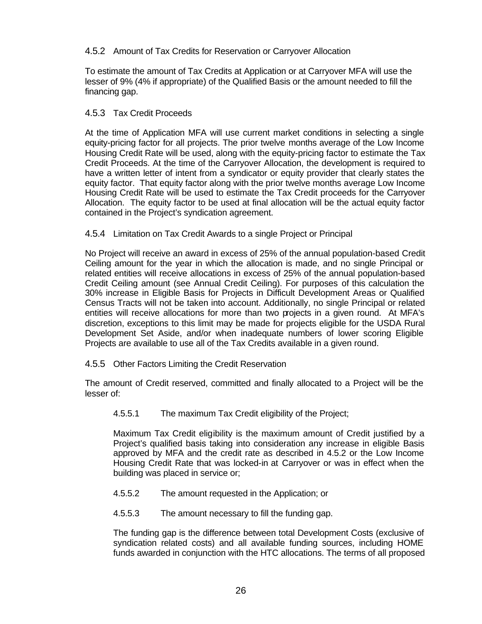## 4.5.2 Amount of Tax Credits for Reservation or Carryover Allocation

To estimate the amount of Tax Credits at Application or at Carryover MFA will use the lesser of 9% (4% if appropriate) of the Qualified Basis or the amount needed to fill the financing gap.

## 4.5.3 Tax Credit Proceeds

At the time of Application MFA will use current market conditions in selecting a single equity-pricing factor for all projects. The prior twelve months average of the Low Income Housing Credit Rate will be used, along with the equity-pricing factor to estimate the Tax Credit Proceeds. At the time of the Carryover Allocation, the development is required to have a written letter of intent from a syndicator or equity provider that clearly states the equity factor. That equity factor along with the prior twelve months average Low Income Housing Credit Rate will be used to estimate the Tax Credit proceeds for the Carryover Allocation. The equity factor to be used at final allocation will be the actual equity factor contained in the Project's syndication agreement.

## 4.5.4 Limitation on Tax Credit Awards to a single Project or Principal

No Project will receive an award in excess of 25% of the annual population-based Credit Ceiling amount for the year in which the allocation is made, and no single Principal or related entities will receive allocations in excess of 25% of the annual population-based Credit Ceiling amount (see Annual Credit Ceiling). For purposes of this calculation the 30% increase in Eligible Basis for Projects in Difficult Development Areas or Qualified Census Tracts will not be taken into account. Additionally, no single Principal or related entities will receive allocations for more than two projects in a given round. At MFA's discretion, exceptions to this limit may be made for projects eligible for the USDA Rural Development Set Aside, and/or when inadequate numbers of lower scoring Eligible Projects are available to use all of the Tax Credits available in a given round.

## 4.5.5 Other Factors Limiting the Credit Reservation

The amount of Credit reserved, committed and finally allocated to a Project will be the lesser of:

4.5.5.1 The maximum Tax Credit eligibility of the Project;

Maximum Tax Credit eligibility is the maximum amount of Credit justified by a Project's qualified basis taking into consideration any increase in eligible Basis approved by MFA and the credit rate as described in 4.5.2 or the Low Income Housing Credit Rate that was locked-in at Carryover or was in effect when the building was placed in service or;

- 4.5.5.2 The amount requested in the Application; or
- 4.5.5.3 The amount necessary to fill the funding gap.

The funding gap is the difference between total Development Costs (exclusive of syndication related costs) and all available funding sources, including HOME funds awarded in conjunction with the HTC allocations. The terms of all proposed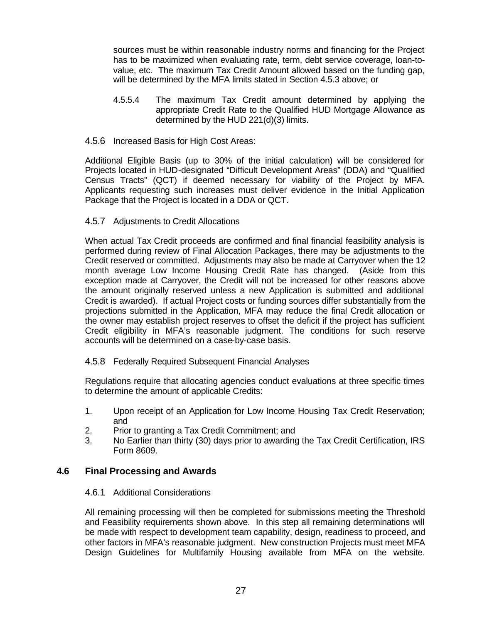sources must be within reasonable industry norms and financing for the Project has to be maximized when evaluating rate, term, debt service coverage, loan-tovalue, etc. The maximum Tax Credit Amount allowed based on the funding gap, will be determined by the MFA limits stated in Section 4.5.3 above; or

- 4.5.5.4 The maximum Tax Credit amount determined by applying the appropriate Credit Rate to the Qualified HUD Mortgage Allowance as determined by the HUD 221(d)(3) limits.
- 4.5.6 Increased Basis for High Cost Areas:

Additional Eligible Basis (up to 30% of the initial calculation) will be considered for Projects located in HUD-designated "Difficult Development Areas" (DDA) and "Qualified Census Tracts" (QCT) if deemed necessary for viability of the Project by MFA. Applicants requesting such increases must deliver evidence in the Initial Application Package that the Project is located in a DDA or QCT.

#### 4.5.7 Adjustments to Credit Allocations

When actual Tax Credit proceeds are confirmed and final financial feasibility analysis is performed during review of Final Allocation Packages, there may be adjustments to the Credit reserved or committed. Adjustments may also be made at Carryover when the 12 month average Low Income Housing Credit Rate has changed. (Aside from this exception made at Carryover, the Credit will not be increased for other reasons above the amount originally reserved unless a new Application is submitted and additional Credit is awarded). If actual Project costs or funding sources differ substantially from the projections submitted in the Application, MFA may reduce the final Credit allocation or the owner may establish project reserves to offset the deficit if the project has sufficient Credit eligibility in MFA's reasonable judgment. The conditions for such reserve accounts will be determined on a case-by-case basis.

#### 4.5.8 Federally Required Subsequent Financial Analyses

Regulations require that allocating agencies conduct evaluations at three specific times to determine the amount of applicable Credits:

- 1. Upon receipt of an Application for Low Income Housing Tax Credit Reservation; and
- 2. Prior to granting a Tax Credit Commitment; and
- 3. No Earlier than thirty (30) days prior to awarding the Tax Credit Certification, IRS Form 8609.

## **4.6 Final Processing and Awards**

#### 4.6.1 Additional Considerations

All remaining processing will then be completed for submissions meeting the Threshold and Feasibility requirements shown above. In this step all remaining determinations will be made with respect to development team capability, design, readiness to proceed, and other factors in MFA's reasonable judgment. New construction Projects must meet MFA Design Guidelines for Multifamily Housing available from MFA on the website.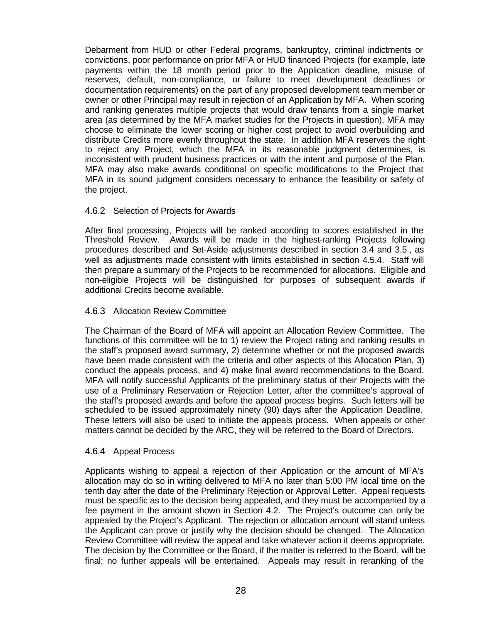Debarment from HUD or other Federal programs, bankruptcy, criminal indictments or convictions, poor performance on prior MFA or HUD financed Projects (for example, late payments within the 18 month period prior to the Application deadline, misuse of reserves, default, non-compliance, or failure to meet development deadlines or documentation requirements) on the part of any proposed development team member or owner or other Principal may result in rejection of an Application by MFA. When scoring and ranking generates multiple projects that would draw tenants from a single market area (as determined by the MFA market studies for the Projects in question), MFA may choose to eliminate the lower scoring or higher cost project to avoid overbuilding and distribute Credits more evenly throughout the state. In addition MFA reserves the right to reject any Project, which the MFA in its reasonable judgment determines, is inconsistent with prudent business practices or with the intent and purpose of the Plan. MFA may also make awards conditional on specific modifications to the Project that MFA in its sound judgment considers necessary to enhance the feasibility or safety of the project.

## 4.6.2 Selection of Projects for Awards

After final processing, Projects will be ranked according to scores established in the Threshold Review. Awards will be made in the highest-ranking Projects following procedures described and Set-Aside adjustments described in section 3.4 and 3.5., as well as adjustments made consistent with limits established in section 4.5.4. Staff will then prepare a summary of the Projects to be recommended for allocations. Eligible and non-eligible Projects will be distinguished for purposes of subsequent awards if additional Credits become available.

#### 4.6.3 Allocation Review Committee

The Chairman of the Board of MFA will appoint an Allocation Review Committee. The functions of this committee will be to 1) review the Project rating and ranking results in the staff's proposed award summary, 2) determine whether or not the proposed awards have been made consistent with the criteria and other aspects of this Allocation Plan, 3) conduct the appeals process, and 4) make final award recommendations to the Board. MFA will notify successful Applicants of the preliminary status of their Projects with the use of a Preliminary Reservation or Rejection Letter, after the committee's approval of the staff's proposed awards and before the appeal process begins. Such letters will be scheduled to be issued approximately ninety (90) days after the Application Deadline. These letters will also be used to initiate the appeals process. When appeals or other matters cannot be decided by the ARC, they will be referred to the Board of Directors.

#### 4.6.4 Appeal Process

Applicants wishing to appeal a rejection of their Application or the amount of MFA's allocation may do so in writing delivered to MFA no later than 5:00 PM local time on the tenth day after the date of the Preliminary Rejection or Approval Letter. Appeal requests must be specific as to the decision being appealed, and they must be accompanied by a fee payment in the amount shown in Section 4.2. The Project's outcome can only be appealed by the Project's Applicant. The rejection or allocation amount will stand unless the Applicant can prove or justify why the decision should be changed. The Allocation Review Committee will review the appeal and take whatever action it deems appropriate. The decision by the Committee or the Board, if the matter is referred to the Board, will be final; no further appeals will be entertained. Appeals may result in reranking of the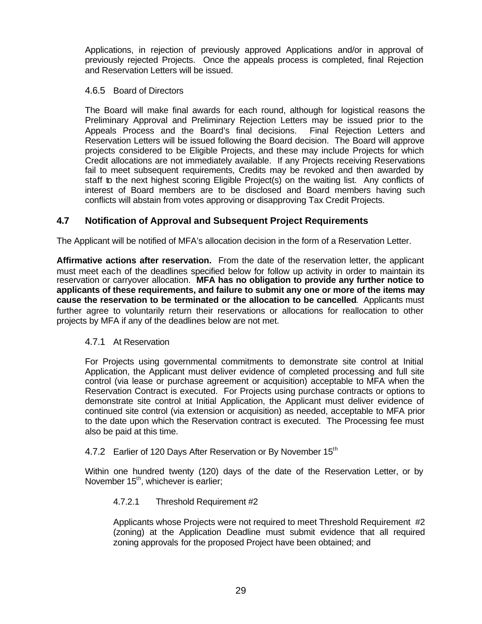Applications, in rejection of previously approved Applications and/or in approval of previously rejected Projects. Once the appeals process is completed, final Rejection and Reservation Letters will be issued.

## 4.6.5 Board of Directors

The Board will make final awards for each round, although for logistical reasons the Preliminary Approval and Preliminary Rejection Letters may be issued prior to the Appeals Process and the Board's final decisions. Final Rejection Letters and Reservation Letters will be issued following the Board decision. The Board will approve projects considered to be Eligible Projects, and these may include Projects for which Credit allocations are not immediately available. If any Projects receiving Reservations fail to meet subsequent requirements, Credits may be revoked and then awarded by staff to the next highest scoring Eligible Project(s) on the waiting list. Any conflicts of interest of Board members are to be disclosed and Board members having such conflicts will abstain from votes approving or disapproving Tax Credit Projects.

## **4.7 Notification of Approval and Subsequent Project Requirements**

The Applicant will be notified of MFA's allocation decision in the form of a Reservation Letter.

**Affirmative actions after reservation.** From the date of the reservation letter, the applicant must meet each of the deadlines specified below for follow up activity in order to maintain its reservation or carryover allocation. **MFA has no obligation to provide any further notice to applicants of these requirements, and failure to submit any one or more of the items may cause the reservation to be terminated or the allocation to be cancelled**. Applicants must further agree to voluntarily return their reservations or allocations for reallocation to other projects by MFA if any of the deadlines below are not met.

## 4.7.1 At Reservation

For Projects using governmental commitments to demonstrate site control at Initial Application, the Applicant must deliver evidence of completed processing and full site control (via lease or purchase agreement or acquisition) acceptable to MFA when the Reservation Contract is executed. For Projects using purchase contracts or options to demonstrate site control at Initial Application, the Applicant must deliver evidence of continued site control (via extension or acquisition) as needed, acceptable to MFA prior to the date upon which the Reservation contract is executed. The Processing fee must also be paid at this time.

## 4.7.2 Earlier of 120 Days After Reservation or By November 15<sup>th</sup>

Within one hundred twenty (120) days of the date of the Reservation Letter, or by November 15<sup>th</sup>, whichever is earlier;

#### 4.7.2.1 Threshold Requirement #2

Applicants whose Projects were not required to meet Threshold Requirement #2 (zoning) at the Application Deadline must submit evidence that all required zoning approvals for the proposed Project have been obtained; and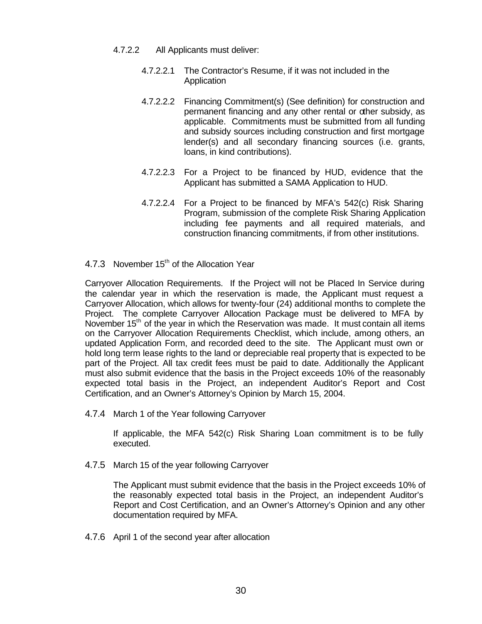- 4.7.2.2 All Applicants must deliver:
	- 4.7.2.2.1 The Contractor's Resume, if it was not included in the **Application**
	- 4.7.2.2.2 Financing Commitment(s) (See definition) for construction and permanent financing and any other rental or other subsidy, as applicable. Commitments must be submitted from all funding and subsidy sources including construction and first mortgage lender(s) and all secondary financing sources (i.e. grants, loans, in kind contributions).
	- 4.7.2.2.3 For a Project to be financed by HUD, evidence that the Applicant has submitted a SAMA Application to HUD.
	- 4.7.2.2.4 For a Project to be financed by MFA's 542(c) Risk Sharing Program, submission of the complete Risk Sharing Application including fee payments and all required materials, and construction financing commitments, if from other institutions.
- 4.7.3 November  $15<sup>th</sup>$  of the Allocation Year

Carryover Allocation Requirements. If the Project will not be Placed In Service during the calendar year in which the reservation is made, the Applicant must request a Carryover Allocation, which allows for twenty-four (24) additional months to complete the Project. The complete Carryover Allocation Package must be delivered to MFA by November  $15<sup>th</sup>$  of the year in which the Reservation was made. It must contain all items on the Carryover Allocation Requirements Checklist, which include, among others, an updated Application Form, and recorded deed to the site. The Applicant must own or hold long term lease rights to the land or depreciable real property that is expected to be part of the Project. All tax credit fees must be paid to date. Additionally the Applicant must also submit evidence that the basis in the Project exceeds 10% of the reasonably expected total basis in the Project, an independent Auditor's Report and Cost Certification, and an Owner's Attorney's Opinion by March 15, 2004.

4.7.4 March 1 of the Year following Carryover

If applicable, the MFA 542(c) Risk Sharing Loan commitment is to be fully executed.

4.7.5 March 15 of the year following Carryover

The Applicant must submit evidence that the basis in the Project exceeds 10% of the reasonably expected total basis in the Project, an independent Auditor's Report and Cost Certification, and an Owner's Attorney's Opinion and any other documentation required by MFA.

4.7.6 April 1 of the second year after allocation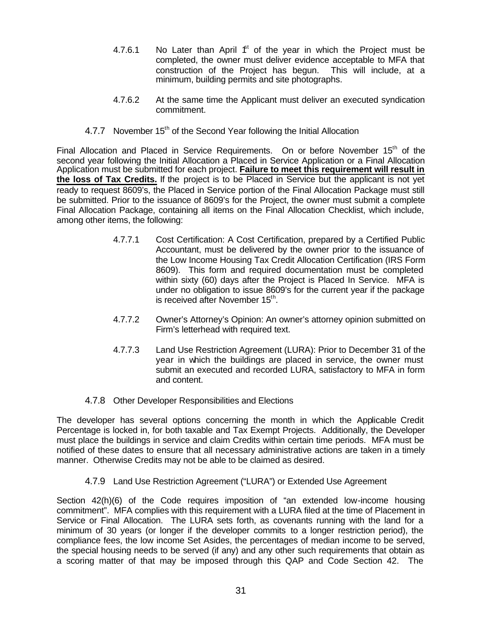- 4.7.6.1 No Later than April  $f<sup>t</sup>$  of the year in which the Project must be completed, the owner must deliver evidence acceptable to MFA that construction of the Project has begun. This will include, at a minimum, building permits and site photographs.
- 4.7.6.2 At the same time the Applicant must deliver an executed syndication commitment.
- 4.7.7 November 15<sup>th</sup> of the Second Year following the Initial Allocation

Final Allocation and Placed in Service Requirements. On or before November 15<sup>th</sup> of the second year following the Initial Allocation a Placed in Service Application or a Final Allocation Application must be submitted for each project. **Failure to meet this requirement will result in the loss of Tax Credits.** If the project is to be Placed in Service but the applicant is not yet ready to request 8609's, the Placed in Service portion of the Final Allocation Package must still be submitted. Prior to the issuance of 8609's for the Project, the owner must submit a complete Final Allocation Package, containing all items on the Final Allocation Checklist, which include, among other items, the following:

- 4.7.7.1 Cost Certification: A Cost Certification, prepared by a Certified Public Accountant, must be delivered by the owner prior to the issuance of the Low Income Housing Tax Credit Allocation Certification (IRS Form 8609). This form and required documentation must be completed within sixty (60) days after the Project is Placed In Service. MFA is under no obligation to issue 8609's for the current year if the package is received after November 15<sup>th</sup>.
- 4.7.7.2 Owner's Attorney's Opinion: An owner's attorney opinion submitted on Firm's letterhead with required text.
- 4.7.7.3 Land Use Restriction Agreement (LURA): Prior to December 31 of the year in which the buildings are placed in service, the owner must submit an executed and recorded LURA, satisfactory to MFA in form and content.
- 4.7.8 Other Developer Responsibilities and Elections

The developer has several options concerning the month in which the Applicable Credit Percentage is locked in, for both taxable and Tax Exempt Projects. Additionally, the Developer must place the buildings in service and claim Credits within certain time periods. MFA must be notified of these dates to ensure that all necessary administrative actions are taken in a timely manner. Otherwise Credits may not be able to be claimed as desired.

4.7.9 Land Use Restriction Agreement ("LURA") or Extended Use Agreement

Section 42(h)(6) of the Code requires imposition of "an extended low-income housing commitment". MFA complies with this requirement with a LURA filed at the time of Placement in Service or Final Allocation. The LURA sets forth, as covenants running with the land for a minimum of 30 years (or longer if the developer commits to a longer restriction period), the compliance fees, the low income Set Asides, the percentages of median income to be served, the special housing needs to be served (if any) and any other such requirements that obtain as a scoring matter of that may be imposed through this QAP and Code Section 42. The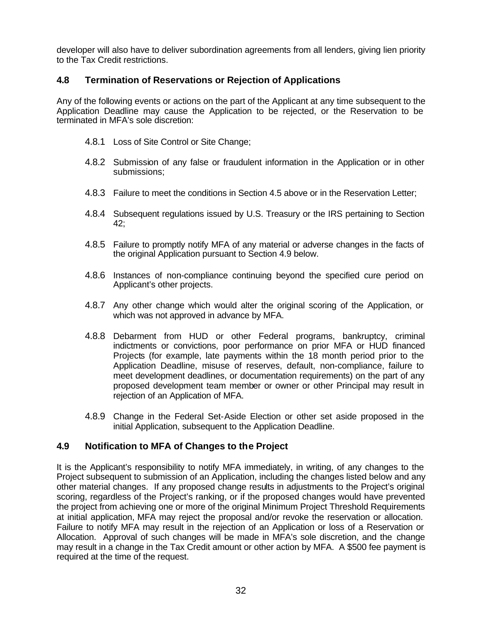developer will also have to deliver subordination agreements from all lenders, giving lien priority to the Tax Credit restrictions.

## **4.8 Termination of Reservations or Rejection of Applications**

Any of the following events or actions on the part of the Applicant at any time subsequent to the Application Deadline may cause the Application to be rejected, or the Reservation to be terminated in MFA's sole discretion:

- 4.8.1 Loss of Site Control or Site Change;
- 4.8.2 Submission of any false or fraudulent information in the Application or in other submissions;
- 4.8.3 Failure to meet the conditions in Section 4.5 above or in the Reservation Letter;
- 4.8.4 Subsequent regulations issued by U.S. Treasury or the IRS pertaining to Section 42;
- 4.8.5 Failure to promptly notify MFA of any material or adverse changes in the facts of the original Application pursuant to Section 4.9 below.
- 4.8.6 Instances of non-compliance continuing beyond the specified cure period on Applicant's other projects.
- 4.8.7 Any other change which would alter the original scoring of the Application, or which was not approved in advance by MFA.
- 4.8.8 Debarment from HUD or other Federal programs, bankruptcy, criminal indictments or convictions, poor performance on prior MFA or HUD financed Projects (for example, late payments within the 18 month period prior to the Application Deadline, misuse of reserves, default, non-compliance, failure to meet development deadlines, or documentation requirements) on the part of any proposed development team member or owner or other Principal may result in rejection of an Application of MFA.
- 4.8.9 Change in the Federal Set-Aside Election or other set aside proposed in the initial Application, subsequent to the Application Deadline.

## **4.9 Notification to MFA of Changes to the Project**

It is the Applicant's responsibility to notify MFA immediately, in writing, of any changes to the Project subsequent to submission of an Application, including the changes listed below and any other material changes. If any proposed change results in adjustments to the Project's original scoring, regardless of the Project's ranking, or if the proposed changes would have prevented the project from achieving one or more of the original Minimum Project Threshold Requirements at initial application, MFA may reject the proposal and/or revoke the reservation or allocation. Failure to notify MFA may result in the rejection of an Application or loss of a Reservation or Allocation. Approval of such changes will be made in MFA's sole discretion, and the change may result in a change in the Tax Credit amount or other action by MFA. A \$500 fee payment is required at the time of the request.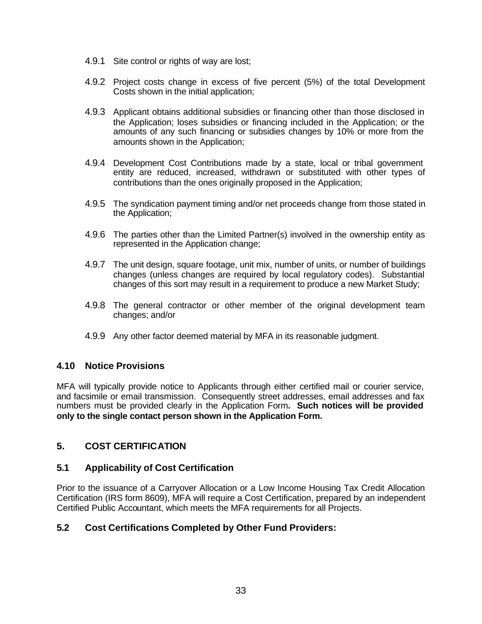- 4.9.1 Site control or rights of way are lost;
- 4.9.2 Project costs change in excess of five percent (5%) of the total Development Costs shown in the initial application;
- 4.9.3 Applicant obtains additional subsidies or financing other than those disclosed in the Application; loses subsidies or financing included in the Application; or the amounts of any such financing or subsidies changes by 10% or more from the amounts shown in the Application;
- 4.9.4 Development Cost Contributions made by a state, local or tribal government entity are reduced, increased, withdrawn or substituted with other types of contributions than the ones originally proposed in the Application;
- 4.9.5 The syndication payment timing and/or net proceeds change from those stated in the Application;
- 4.9.6 The parties other than the Limited Partner(s) involved in the ownership entity as represented in the Application change;
- 4.9.7 The unit design, square footage, unit mix, number of units, or number of buildings changes (unless changes are required by local regulatory codes). Substantial changes of this sort may result in a requirement to produce a new Market Study;
- 4.9.8 The general contractor or other member of the original development team changes; and/or
- 4.9.9 Any other factor deemed material by MFA in its reasonable judgment.

## **4.10 Notice Provisions**

MFA will typically provide notice to Applicants through either certified mail or courier service, and facsimile or email transmission. Consequently street addresses, email addresses and fax numbers must be provided clearly in the Application Form**. Such notices will be provided only to the single contact person shown in the Application Form.**

## **5. COST CERTIFICATION**

## **5.1 Applicability of Cost Certification**

Prior to the issuance of a Carryover Allocation or a Low Income Housing Tax Credit Allocation Certification (IRS form 8609), MFA will require a Cost Certification, prepared by an independent Certified Public Accountant, which meets the MFA requirements for all Projects.

## **5.2 Cost Certifications Completed by Other Fund Providers:**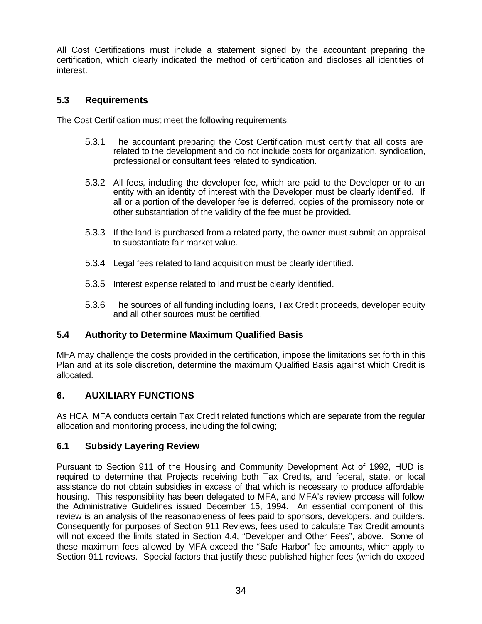All Cost Certifications must include a statement signed by the accountant preparing the certification, which clearly indicated the method of certification and discloses all identities of interest.

# **5.3 Requirements**

The Cost Certification must meet the following requirements:

- 5.3.1 The accountant preparing the Cost Certification must certify that all costs are related to the development and do not include costs for organization, syndication, professional or consultant fees related to syndication.
- 5.3.2 All fees, including the developer fee, which are paid to the Developer or to an entity with an identity of interest with the Developer must be clearly identified. If all or a portion of the developer fee is deferred, copies of the promissory note or other substantiation of the validity of the fee must be provided.
- 5.3.3 If the land is purchased from a related party, the owner must submit an appraisal to substantiate fair market value.
- 5.3.4 Legal fees related to land acquisition must be clearly identified.
- 5.3.5 Interest expense related to land must be clearly identified.
- 5.3.6 The sources of all funding including loans, Tax Credit proceeds, developer equity and all other sources must be certified.

# **5.4 Authority to Determine Maximum Qualified Basis**

MFA may challenge the costs provided in the certification, impose the limitations set forth in this Plan and at its sole discretion, determine the maximum Qualified Basis against which Credit is allocated.

# **6. AUXILIARY FUNCTIONS**

As HCA, MFA conducts certain Tax Credit related functions which are separate from the regular allocation and monitoring process, including the following;

## **6.1 Subsidy Layering Review**

Pursuant to Section 911 of the Housing and Community Development Act of 1992, HUD is required to determine that Projects receiving both Tax Credits, and federal, state, or local assistance do not obtain subsidies in excess of that which is necessary to produce affordable housing. This responsibility has been delegated to MFA, and MFA's review process will follow the Administrative Guidelines issued December 15, 1994. An essential component of this review is an analysis of the reasonableness of fees paid to sponsors, developers, and builders. Consequently for purposes of Section 911 Reviews, fees used to calculate Tax Credit amounts will not exceed the limits stated in Section 4.4, "Developer and Other Fees", above. Some of these maximum fees allowed by MFA exceed the "Safe Harbor" fee amounts, which apply to Section 911 reviews. Special factors that justify these published higher fees (which do exceed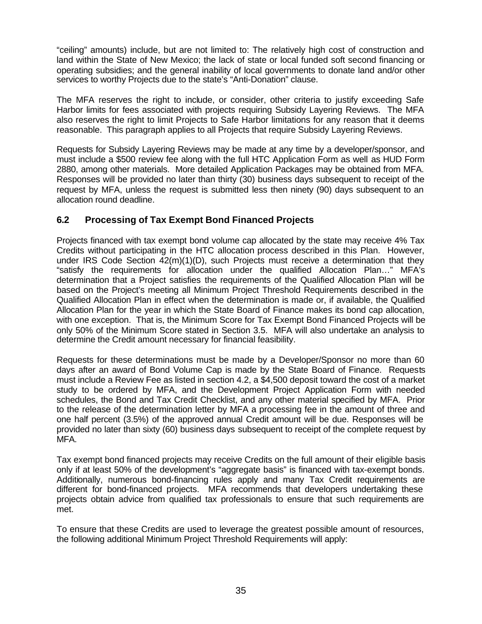"ceiling" amounts) include, but are not limited to: The relatively high cost of construction and land within the State of New Mexico; the lack of state or local funded soft second financing or operating subsidies; and the general inability of local governments to donate land and/or other services to worthy Projects due to the state's "Anti-Donation" clause.

The MFA reserves the right to include, or consider, other criteria to justify exceeding Safe Harbor limits for fees associated with projects requiring Subsidy Layering Reviews. The MFA also reserves the right to limit Projects to Safe Harbor limitations for any reason that it deems reasonable. This paragraph applies to all Projects that require Subsidy Layering Reviews.

Requests for Subsidy Layering Reviews may be made at any time by a developer/sponsor, and must include a \$500 review fee along with the full HTC Application Form as well as HUD Form 2880, among other materials. More detailed Application Packages may be obtained from MFA. Responses will be provided no later than thirty (30) business days subsequent to receipt of the request by MFA, unless the request is submitted less then ninety (90) days subsequent to an allocation round deadline.

# **6.2 Processing of Tax Exempt Bond Financed Projects**

Projects financed with tax exempt bond volume cap allocated by the state may receive 4% Tax Credits without participating in the HTC allocation process described in this Plan. However, under IRS Code Section  $42(m)(1)(D)$ , such Projects must receive a determination that they "satisfy the requirements for allocation under the qualified Allocation Plan…" MFA's determination that a Project satisfies the requirements of the Qualified Allocation Plan will be based on the Project's meeting all Minimum Project Threshold Requirements described in the Qualified Allocation Plan in effect when the determination is made or, if available, the Qualified Allocation Plan for the year in which the State Board of Finance makes its bond cap allocation, with one exception. That is, the Minimum Score for Tax Exempt Bond Financed Projects will be only 50% of the Minimum Score stated in Section 3.5. MFA will also undertake an analysis to determine the Credit amount necessary for financial feasibility.

Requests for these determinations must be made by a Developer/Sponsor no more than 60 days after an award of Bond Volume Cap is made by the State Board of Finance. Requests must include a Review Fee as listed in section 4.2, a \$4,500 deposit toward the cost of a market study to be ordered by MFA, and the Development Project Application Form with needed schedules, the Bond and Tax Credit Checklist, and any other material specified by MFA. Prior to the release of the determination letter by MFA a processing fee in the amount of three and one half percent (3.5%) of the approved annual Credit amount will be due. Responses will be provided no later than sixty (60) business days subsequent to receipt of the complete request by MFA.

Tax exempt bond financed projects may receive Credits on the full amount of their eligible basis only if at least 50% of the development's "aggregate basis" is financed with tax-exempt bonds. Additionally, numerous bond-financing rules apply and many Tax Credit requirements are different for bond-financed projects. MFA recommends that developers undertaking these projects obtain advice from qualified tax professionals to ensure that such requirements are met.

To ensure that these Credits are used to leverage the greatest possible amount of resources, the following additional Minimum Project Threshold Requirements will apply: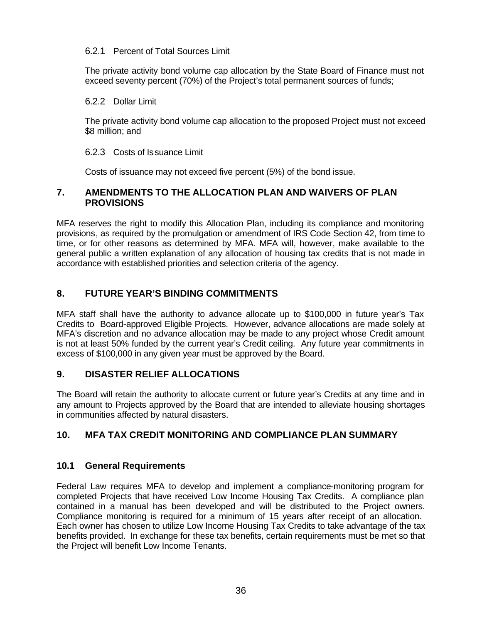## 6.2.1 Percent of Total Sources Limit

The private activity bond volume cap allocation by the State Board of Finance must not exceed seventy percent (70%) of the Project's total permanent sources of funds;

## 6.2.2 Dollar Limit

The private activity bond volume cap allocation to the proposed Project must not exceed \$8 million; and

## 6.2.3 Costs of Issuance Limit

Costs of issuance may not exceed five percent (5%) of the bond issue.

## **7. AMENDMENTS TO THE ALLOCATION PLAN AND WAIVERS OF PLAN PROVISIONS**

MFA reserves the right to modify this Allocation Plan, including its compliance and monitoring provisions, as required by the promulgation or amendment of IRS Code Section 42, from time to time, or for other reasons as determined by MFA. MFA will, however, make available to the general public a written explanation of any allocation of housing tax credits that is not made in accordance with established priorities and selection criteria of the agency.

## **8. FUTURE YEAR'S BINDING COMMITMENTS**

MFA staff shall have the authority to advance allocate up to \$100,000 in future year's Tax Credits to Board-approved Eligible Projects. However, advance allocations are made solely at MFA's discretion and no advance allocation may be made to any project whose Credit amount is not at least 50% funded by the current year's Credit ceiling. Any future year commitments in excess of \$100,000 in any given year must be approved by the Board.

## **9. DISASTER RELIEF ALLOCATIONS**

The Board will retain the authority to allocate current or future year's Credits at any time and in any amount to Projects approved by the Board that are intended to alleviate housing shortages in communities affected by natural disasters.

# **10. MFA TAX CREDIT MONITORING AND COMPLIANCE PLAN SUMMARY**

## **10.1 General Requirements**

Federal Law requires MFA to develop and implement a compliance-monitoring program for completed Projects that have received Low Income Housing Tax Credits. A compliance plan contained in a manual has been developed and will be distributed to the Project owners. Compliance monitoring is required for a minimum of 15 years after receipt of an allocation. Each owner has chosen to utilize Low Income Housing Tax Credits to take advantage of the tax benefits provided. In exchange for these tax benefits, certain requirements must be met so that the Project will benefit Low Income Tenants.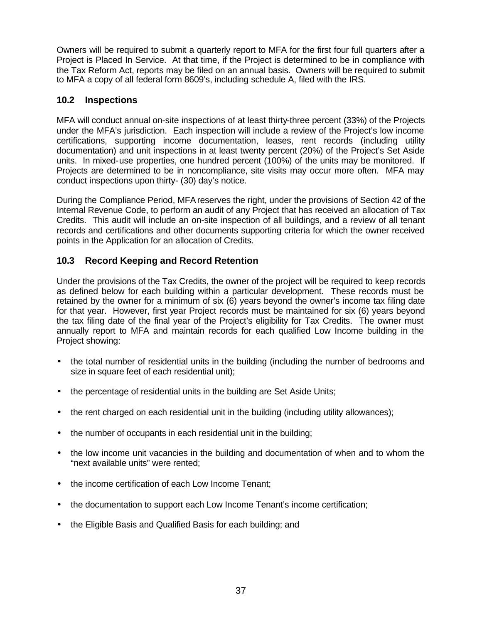Owners will be required to submit a quarterly report to MFA for the first four full quarters after a Project is Placed In Service. At that time, if the Project is determined to be in compliance with the Tax Reform Act, reports may be filed on an annual basis. Owners will be required to submit to MFA a copy of all federal form 8609's, including schedule A, filed with the IRS.

## **10.2 Inspections**

MFA will conduct annual on-site inspections of at least thirty-three percent (33%) of the Projects under the MFA's jurisdiction. Each inspection will include a review of the Project's low income certifications, supporting income documentation, leases, rent records (including utility documentation) and unit inspections in at least twenty percent (20%) of the Project's Set Aside units. In mixed-use properties, one hundred percent (100%) of the units may be monitored. If Projects are determined to be in noncompliance, site visits may occur more often. MFA may conduct inspections upon thirty- (30) day's notice.

During the Compliance Period, MFA reserves the right, under the provisions of Section 42 of the Internal Revenue Code, to perform an audit of any Project that has received an allocation of Tax Credits. This audit will include an on-site inspection of all buildings, and a review of all tenant records and certifications and other documents supporting criteria for which the owner received points in the Application for an allocation of Credits.

## **10.3 Record Keeping and Record Retention**

Under the provisions of the Tax Credits, the owner of the project will be required to keep records as defined below for each building within a particular development. These records must be retained by the owner for a minimum of six (6) years beyond the owner's income tax filing date for that year. However, first year Project records must be maintained for six (6) years beyond the tax filing date of the final year of the Project's eligibility for Tax Credits. The owner must annually report to MFA and maintain records for each qualified Low Income building in the Project showing:

- the total number of residential units in the building (including the number of bedrooms and size in square feet of each residential unit);
- the percentage of residential units in the building are Set Aside Units;
- the rent charged on each residential unit in the building (including utility allowances);
- the number of occupants in each residential unit in the building;
- the low income unit vacancies in the building and documentation of when and to whom the "next available units" were rented;
- the income certification of each Low Income Tenant;
- the documentation to support each Low Income Tenant's income certification;
- the Eligible Basis and Qualified Basis for each building; and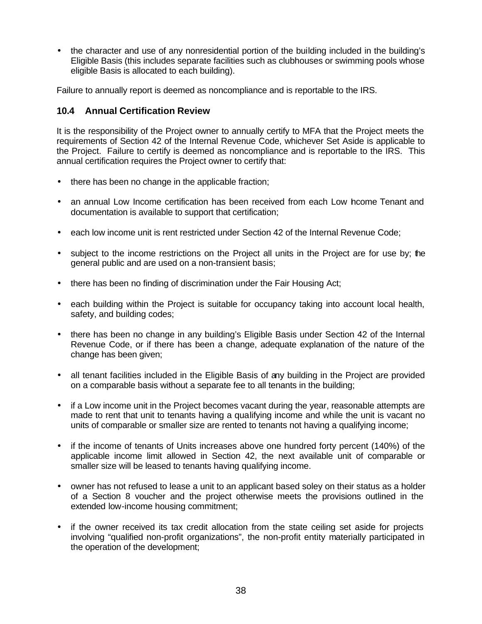• the character and use of any nonresidential portion of the building included in the building's Eligible Basis (this includes separate facilities such as clubhouses or swimming pools whose eligible Basis is allocated to each building).

Failure to annually report is deemed as noncompliance and is reportable to the IRS.

## **10.4 Annual Certification Review**

It is the responsibility of the Project owner to annually certify to MFA that the Project meets the requirements of Section 42 of the Internal Revenue Code, whichever Set Aside is applicable to the Project. Failure to certify is deemed as noncompliance and is reportable to the IRS. This annual certification requires the Project owner to certify that:

- there has been no change in the applicable fraction;
- an annual Low Income certification has been received from each Low hcome Tenant and documentation is available to support that certification;
- each low income unit is rent restricted under Section 42 of the Internal Revenue Code:
- subject to the income restrictions on the Project all units in the Project are for use by; the general public and are used on a non-transient basis;
- there has been no finding of discrimination under the Fair Housing Act;
- each building within the Project is suitable for occupancy taking into account local health, safety, and building codes;
- there has been no change in any building's Eligible Basis under Section 42 of the Internal Revenue Code, or if there has been a change, adequate explanation of the nature of the change has been given;
- all tenant facilities included in the Eligible Basis of any building in the Project are provided on a comparable basis without a separate fee to all tenants in the building;
- if a Low income unit in the Project becomes vacant during the year, reasonable attempts are made to rent that unit to tenants having a qualifying income and while the unit is vacant no units of comparable or smaller size are rented to tenants not having a qualifying income;
- if the income of tenants of Units increases above one hundred forty percent (140%) of the applicable income limit allowed in Section 42, the next available unit of comparable or smaller size will be leased to tenants having qualifying income.
- owner has not refused to lease a unit to an applicant based soley on their status as a holder of a Section 8 voucher and the project otherwise meets the provisions outlined in the extended low-income housing commitment;
- if the owner received its tax credit allocation from the state ceiling set aside for projects involving "qualified non-profit organizations", the non-profit entity materially participated in the operation of the development;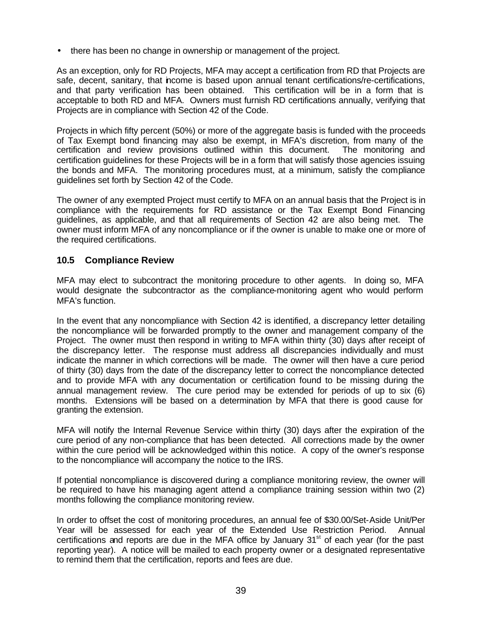• there has been no change in ownership or management of the project.

As an exception, only for RD Projects, MFA may accept a certification from RD that Projects are safe, decent, sanitary, that income is based upon annual tenant certifications/re-certifications, and that party verification has been obtained. This certification will be in a form that is acceptable to both RD and MFA. Owners must furnish RD certifications annually, verifying that Projects are in compliance with Section 42 of the Code.

Projects in which fifty percent (50%) or more of the aggregate basis is funded with the proceeds of Tax Exempt bond financing may also be exempt, in MFA's discretion, from many of the certification and review provisions outlined within this document. The monitoring and certification guidelines for these Projects will be in a form that will satisfy those agencies issuing the bonds and MFA. The monitoring procedures must, at a minimum, satisfy the compliance guidelines set forth by Section 42 of the Code.

The owner of any exempted Project must certify to MFA on an annual basis that the Project is in compliance with the requirements for RD assistance or the Tax Exempt Bond Financing guidelines, as applicable, and that all requirements of Section 42 are also being met. The owner must inform MFA of any noncompliance or if the owner is unable to make one or more of the required certifications.

## **10.5 Compliance Review**

MFA may elect to subcontract the monitoring procedure to other agents. In doing so, MFA would designate the subcontractor as the compliance-monitoring agent who would perform MFA's function.

In the event that any noncompliance with Section 42 is identified, a discrepancy letter detailing the noncompliance will be forwarded promptly to the owner and management company of the Project. The owner must then respond in writing to MFA within thirty (30) days after receipt of the discrepancy letter. The response must address all discrepancies individually and must indicate the manner in which corrections will be made. The owner will then have a cure period of thirty (30) days from the date of the discrepancy letter to correct the noncompliance detected and to provide MFA with any documentation or certification found to be missing during the annual management review. The cure period may be extended for periods of up to six (6) months. Extensions will be based on a determination by MFA that there is good cause for granting the extension.

MFA will notify the Internal Revenue Service within thirty (30) days after the expiration of the cure period of any non-compliance that has been detected. All corrections made by the owner within the cure period will be acknowledged within this notice. A copy of the owner's response to the noncompliance will accompany the notice to the IRS.

If potential noncompliance is discovered during a compliance monitoring review, the owner will be required to have his managing agent attend a compliance training session within two (2) months following the compliance monitoring review.

In order to offset the cost of monitoring procedures, an annual fee of \$30.00/Set-Aside Unit/Per Year will be assessed for each year of the Extended Use Restriction Period. Annual certifications and reports are due in the MFA office by January  $31<sup>st</sup>$  of each year (for the past reporting year). A notice will be mailed to each property owner or a designated representative to remind them that the certification, reports and fees are due.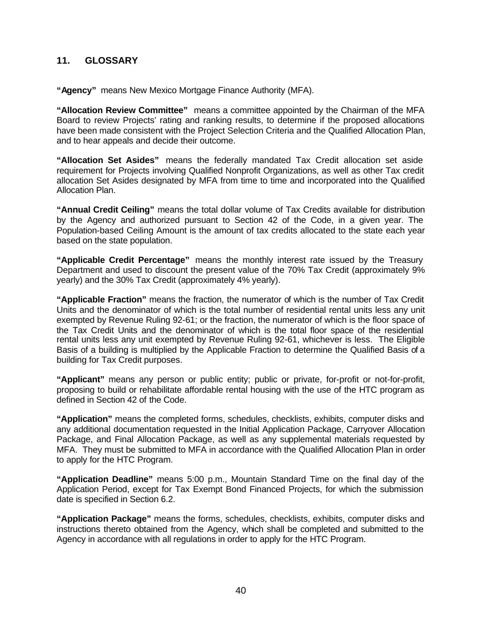## **11. GLOSSARY**

**"Agency"** means New Mexico Mortgage Finance Authority (MFA).

**"Allocation Review Committee"** means a committee appointed by the Chairman of the MFA Board to review Projects' rating and ranking results, to determine if the proposed allocations have been made consistent with the Project Selection Criteria and the Qualified Allocation Plan, and to hear appeals and decide their outcome.

**"Allocation Set Asides"** means the federally mandated Tax Credit allocation set aside requirement for Projects involving Qualified Nonprofit Organizations, as well as other Tax credit allocation Set Asides designated by MFA from time to time and incorporated into the Qualified Allocation Plan.

**"Annual Credit Ceiling"** means the total dollar volume of Tax Credits available for distribution by the Agency and authorized pursuant to Section 42 of the Code, in a given year. The Population-based Ceiling Amount is the amount of tax credits allocated to the state each year based on the state population.

**"Applicable Credit Percentage"** means the monthly interest rate issued by the Treasury Department and used to discount the present value of the 70% Tax Credit (approximately 9% yearly) and the 30% Tax Credit (approximately 4% yearly).

**"Applicable Fraction"** means the fraction, the numerator of which is the number of Tax Credit Units and the denominator of which is the total number of residential rental units less any unit exempted by Revenue Ruling 92-61; or the fraction, the numerator of which is the floor space of the Tax Credit Units and the denominator of which is the total floor space of the residential rental units less any unit exempted by Revenue Ruling 92-61, whichever is less. The Eligible Basis of a building is multiplied by the Applicable Fraction to determine the Qualified Basis of a building for Tax Credit purposes.

**"Applicant"** means any person or public entity; public or private, for-profit or not-for-profit, proposing to build or rehabilitate affordable rental housing with the use of the HTC program as defined in Section 42 of the Code.

**"Application"** means the completed forms, schedules, checklists, exhibits, computer disks and any additional documentation requested in the Initial Application Package, Carryover Allocation Package, and Final Allocation Package, as well as any supplemental materials requested by MFA. They must be submitted to MFA in accordance with the Qualified Allocation Plan in order to apply for the HTC Program.

**"Application Deadline"** means 5:00 p.m., Mountain Standard Time on the final day of the Application Period, except for Tax Exempt Bond Financed Projects, for which the submission date is specified in Section 6.2.

**"Application Package"** means the forms, schedules, checklists, exhibits, computer disks and instructions thereto obtained from the Agency, which shall be completed and submitted to the Agency in accordance with all regulations in order to apply for the HTC Program.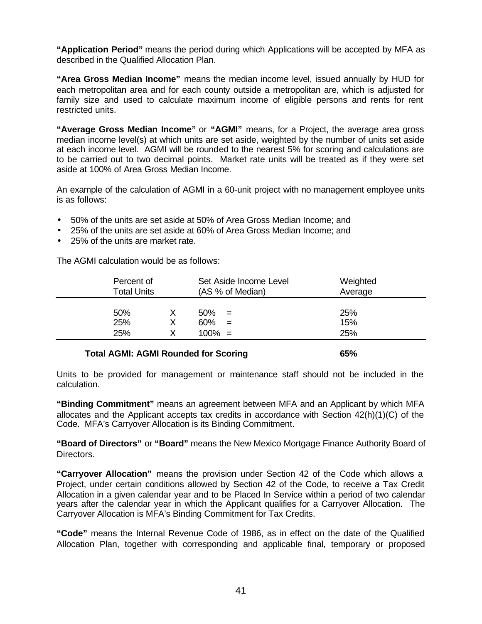**"Application Period"** means the period during which Applications will be accepted by MFA as described in the Qualified Allocation Plan.

**"Area Gross Median Income"** means the median income level, issued annually by HUD for each metropolitan area and for each county outside a metropolitan are, which is adjusted for family size and used to calculate maximum income of eligible persons and rents for rent restricted units.

**"Average Gross Median Income"** or **"AGMI"** means, for a Project, the average area gross median income level(s) at which units are set aside, weighted by the number of units set aside at each income level. AGMI will be rounded to the nearest 5% for scoring and calculations are to be carried out to two decimal points. Market rate units will be treated as if they were set aside at 100% of Area Gross Median Income.

An example of the calculation of AGMI in a 60-unit project with no management employee units is as follows:

- 50% of the units are set aside at 50% of Area Gross Median Income; and
- 25% of the units are set aside at 60% of Area Gross Median Income; and
- 25% of the units are market rate.

The AGMI calculation would be as follows:

| Percent of<br><b>Total Units</b> |  | Set Aside Income Level<br>(AS % of Median) |            | Weighted<br>Average |  |
|----------------------------------|--|--------------------------------------------|------------|---------------------|--|
| 50%<br>25%<br>25%                |  | 50%<br>60%<br>$100\% =$                    | $=$<br>$=$ | 25%<br>15%<br>25%   |  |
|                                  |  |                                            |            |                     |  |

#### **Total AGMI: AGMI Rounded for Scoring 65%**

Units to be provided for management or maintenance staff should not be included in the calculation.

**"Binding Commitment"** means an agreement between MFA and an Applicant by which MFA allocates and the Applicant accepts tax credits in accordance with Section 42(h)(1)(C) of the Code. MFA's Carryover Allocation is its Binding Commitment.

**"Board of Directors"** or **"Board"** means the New Mexico Mortgage Finance Authority Board of Directors.

**"Carryover Allocation"** means the provision under Section 42 of the Code which allows a Project, under certain conditions allowed by Section 42 of the Code, to receive a Tax Credit Allocation in a given calendar year and to be Placed In Service within a period of two calendar years after the calendar year in which the Applicant qualifies for a Carryover Allocation. The Carryover Allocation is MFA's Binding Commitment for Tax Credits.

**"Code"** means the Internal Revenue Code of 1986, as in effect on the date of the Qualified Allocation Plan, together with corresponding and applicable final, temporary or proposed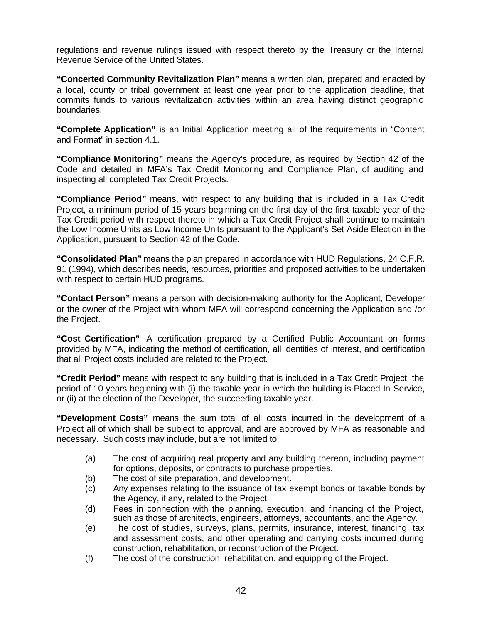regulations and revenue rulings issued with respect thereto by the Treasury or the Internal Revenue Service of the United States.

**"Concerted Community Revitalization Plan"** means a written plan, prepared and enacted by a local, county or tribal government at least one year prior to the application deadline, that commits funds to various revitalization activities within an area having distinct geographic boundaries.

**"Complete Application"** is an Initial Application meeting all of the requirements in "Content and Format" in section 4.1.

**"Compliance Monitoring"** means the Agency's procedure, as required by Section 42 of the Code and detailed in MFA's Tax Credit Monitoring and Compliance Plan, of auditing and inspecting all completed Tax Credit Projects.

**"Compliance Period"** means, with respect to any building that is included in a Tax Credit Project, a minimum period of 15 years beginning on the first day of the first taxable year of the Tax Credit period with respect thereto in which a Tax Credit Project shall continue to maintain the Low Income Units as Low Income Units pursuant to the Applicant's Set Aside Election in the Application, pursuant to Section 42 of the Code.

**"Consolidated Plan"** means the plan prepared in accordance with HUD Regulations, 24 C.F.R. 91 (1994), which describes needs, resources, priorities and proposed activities to be undertaken with respect to certain HUD programs.

**"Contact Person"** means a person with decision-making authority for the Applicant, Developer or the owner of the Project with whom MFA will correspond concerning the Application and /or the Project.

**"Cost Certification"** A certification prepared by a Certified Public Accountant on forms provided by MFA, indicating the method of certification, all identities of interest, and certification that all Project costs included are related to the Project.

**"Credit Period"** means with respect to any building that is included in a Tax Credit Project, the period of 10 years beginning with (i) the taxable year in which the building is Placed In Service, or (ii) at the election of the Developer, the succeeding taxable year.

**"Development Costs"** means the sum total of all costs incurred in the development of a Project all of which shall be subject to approval, and are approved by MFA as reasonable and necessary. Such costs may include, but are not limited to:

- (a) The cost of acquiring real property and any building thereon, including payment for options, deposits, or contracts to purchase properties.
- (b) The cost of site preparation, and development.
- (c) Any expenses relating to the issuance of tax exempt bonds or taxable bonds by the Agency, if any, related to the Project.
- (d) Fees in connection with the planning, execution, and financing of the Project, such as those of architects, engineers, attorneys, accountants, and the Agency.
- (e) The cost of studies, surveys, plans, permits, insurance, interest, financing, tax and assessment costs, and other operating and carrying costs incurred during construction, rehabilitation, or reconstruction of the Project.
- (f) The cost of the construction, rehabilitation, and equipping of the Project.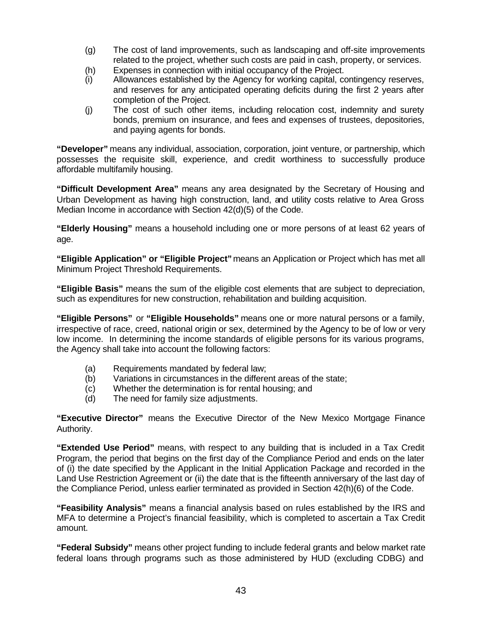- (g) The cost of land improvements, such as landscaping and off-site improvements related to the project, whether such costs are paid in cash, property, or services.
- (h) Expenses in connection with initial occupancy of the Project.
- (i) Allowances established by the Agency for working capital, contingency reserves, and reserves for any anticipated operating deficits during the first 2 years after completion of the Project.
- (j) The cost of such other items, including relocation cost, indemnity and surety bonds, premium on insurance, and fees and expenses of trustees, depositories, and paying agents for bonds.

**"Developer"** means any individual, association, corporation, joint venture, or partnership, which possesses the requisite skill, experience, and credit worthiness to successfully produce affordable multifamily housing.

**"Difficult Development Area"** means any area designated by the Secretary of Housing and Urban Development as having high construction, land, and utility costs relative to Area Gross Median Income in accordance with Section 42(d)(5) of the Code.

**"Elderly Housing"** means a household including one or more persons of at least 62 years of age.

**"Eligible Application" or "Eligible Project"** means an Application or Project which has met all Minimum Project Threshold Requirements.

**"Eligible Basis"** means the sum of the eligible cost elements that are subject to depreciation, such as expenditures for new construction, rehabilitation and building acquisition.

**"Eligible Persons"** or **"Eligible Households"** means one or more natural persons or a family, irrespective of race, creed, national origin or sex, determined by the Agency to be of low or very low income. In determining the income standards of eligible persons for its various programs, the Agency shall take into account the following factors:

- (a) Requirements mandated by federal law;
- (b) Variations in circumstances in the different areas of the state;
- (c) Whether the determination is for rental housing; and
- (d) The need for family size adjustments.

**"Executive Director"** means the Executive Director of the New Mexico Mortgage Finance Authority.

**"Extended Use Period"** means, with respect to any building that is included in a Tax Credit Program, the period that begins on the first day of the Compliance Period and ends on the later of (i) the date specified by the Applicant in the Initial Application Package and recorded in the Land Use Restriction Agreement or (ii) the date that is the fifteenth anniversary of the last day of the Compliance Period, unless earlier terminated as provided in Section 42(h)(6) of the Code.

**"Feasibility Analysis"** means a financial analysis based on rules established by the IRS and MFA to determine a Project's financial feasibility, which is completed to ascertain a Tax Credit amount.

**"Federal Subsidy"** means other project funding to include federal grants and below market rate federal loans through programs such as those administered by HUD (excluding CDBG) and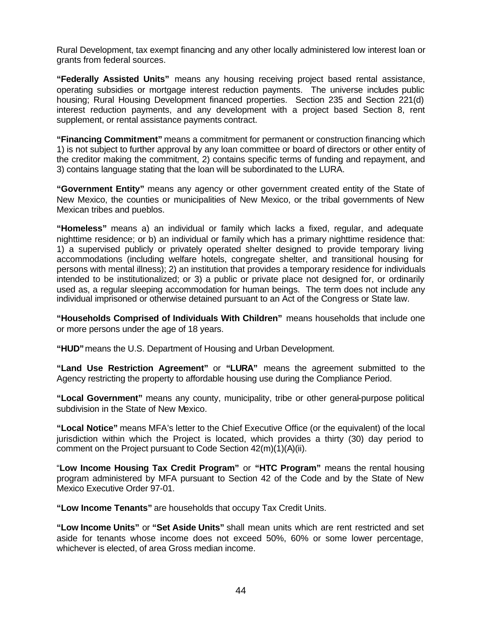Rural Development, tax exempt financing and any other locally administered low interest loan or grants from federal sources.

**"Federally Assisted Units"** means any housing receiving project based rental assistance, operating subsidies or mortgage interest reduction payments. The universe includes public housing; Rural Housing Development financed properties. Section 235 and Section 221(d) interest reduction payments, and any development with a project based Section 8, rent supplement, or rental assistance payments contract.

**"Financing Commitment"** means a commitment for permanent or construction financing which 1) is not subject to further approval by any loan committee or board of directors or other entity of the creditor making the commitment, 2) contains specific terms of funding and repayment, and 3) contains language stating that the loan will be subordinated to the LURA.

**"Government Entity"** means any agency or other government created entity of the State of New Mexico, the counties or municipalities of New Mexico, or the tribal governments of New Mexican tribes and pueblos.

**"Homeless"** means a) an individual or family which lacks a fixed, regular, and adequate nighttime residence; or b) an individual or family which has a primary nighttime residence that: 1) a supervised publicly or privately operated shelter designed to provide temporary living accommodations (including welfare hotels, congregate shelter, and transitional housing for persons with mental illness); 2) an institution that provides a temporary residence for individuals intended to be institutionalized; or 3) a public or private place not designed for, or ordinarily used as, a regular sleeping accommodation for human beings. The term does not include any individual imprisoned or otherwise detained pursuant to an Act of the Congress or State law.

**"Households Comprised of Individuals With Children"** means households that include one or more persons under the age of 18 years.

**"HUD"**means the U.S. Department of Housing and Urban Development.

**"Land Use Restriction Agreement"** or **"LURA"** means the agreement submitted to the Agency restricting the property to affordable housing use during the Compliance Period.

**"Local Government"** means any county, municipality, tribe or other general-purpose political subdivision in the State of New Mexico.

**"Local Notice"** means MFA's letter to the Chief Executive Office (or the equivalent) of the local jurisdiction within which the Project is located, which provides a thirty (30) day period to comment on the Project pursuant to Code Section 42(m)(1)(A)(ii).

"**Low Income Housing Tax Credit Program"** or **"HTC Program"** means the rental housing program administered by MFA pursuant to Section 42 of the Code and by the State of New Mexico Executive Order 97-01.

**"Low Income Tenants"** are households that occupy Tax Credit Units.

**"Low Income Units"** or **"Set Aside Units"** shall mean units which are rent restricted and set aside for tenants whose income does not exceed 50%, 60% or some lower percentage, whichever is elected, of area Gross median income.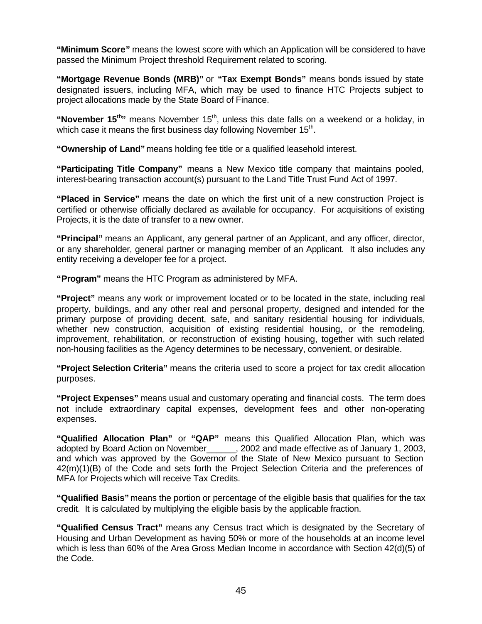**"Minimum Score"** means the lowest score with which an Application will be considered to have passed the Minimum Project threshold Requirement related to scoring.

**"Mortgage Revenue Bonds (MRB)"** or **"Tax Exempt Bonds"** means bonds issued by state designated issuers, including MFA, which may be used to finance HTC Projects subject to project allocations made by the State Board of Finance.

"November 15<sup>th</sup>" means November 15<sup>th</sup>, unless this date falls on a weekend or a holiday, in which case it means the first business day following November  $15^{th}$ .

**"Ownership of Land"** means holding fee title or a qualified leasehold interest.

**"Participating Title Company"** means a New Mexico title company that maintains pooled, interest-bearing transaction account(s) pursuant to the Land Title Trust Fund Act of 1997.

**"Placed in Service"** means the date on which the first unit of a new construction Project is certified or otherwise officially declared as available for occupancy. For acquisitions of existing Projects, it is the date of transfer to a new owner.

**"Principal"** means an Applicant, any general partner of an Applicant, and any officer, director, or any shareholder, general partner or managing member of an Applicant. It also includes any entity receiving a developer fee for a project.

**"Program"** means the HTC Program as administered by MFA.

**"Project"** means any work or improvement located or to be located in the state, including real property, buildings, and any other real and personal property, designed and intended for the primary purpose of providing decent, safe, and sanitary residential housing for individuals, whether new construction, acquisition of existing residential housing, or the remodeling, improvement, rehabilitation, or reconstruction of existing housing, together with such related non-housing facilities as the Agency determines to be necessary, convenient, or desirable.

**"Project Selection Criteria"** means the criteria used to score a project for tax credit allocation purposes.

**"Project Expenses"** means usual and customary operating and financial costs. The term does not include extraordinary capital expenses, development fees and other non-operating expenses.

**"Qualified Allocation Plan"** or **"QAP"** means this Qualified Allocation Plan, which was adopted by Board Action on November\_\_\_\_\_\_, 2002 and made effective as of January 1, 2003, and which was approved by the Governor of the State of New Mexico pursuant to Section 42(m)(1)(B) of the Code and sets forth the Project Selection Criteria and the preferences of MFA for Projects which will receive Tax Credits.

**"Qualified Basis"** means the portion or percentage of the eligible basis that qualifies for the tax credit. It is calculated by multiplying the eligible basis by the applicable fraction.

**"Qualified Census Tract"** means any Census tract which is designated by the Secretary of Housing and Urban Development as having 50% or more of the households at an income level which is less than 60% of the Area Gross Median Income in accordance with Section 42(d)(5) of the Code.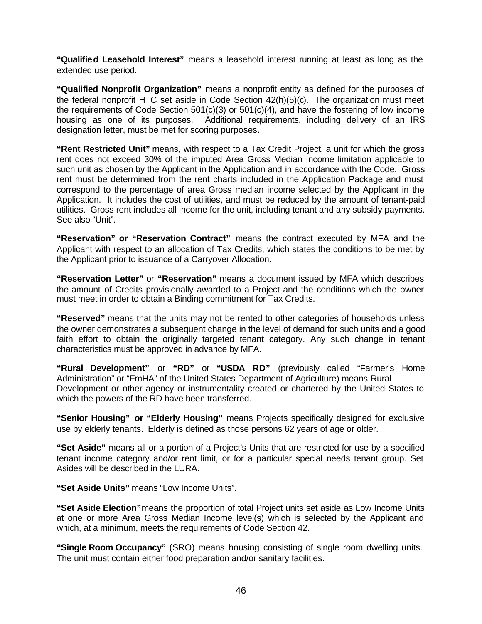**"Qualified Leasehold Interest"** means a leasehold interest running at least as long as the extended use period.

**"Qualified Nonprofit Organization"** means a nonprofit entity as defined for the purposes of the federal nonprofit HTC set aside in Code Section 42(h)(5)(c). The organization must meet the requirements of Code Section 501(c)(3) or 501(c)(4), and have the fostering of low income housing as one of its purposes. Additional requirements, including delivery of an IRS designation letter, must be met for scoring purposes.

**"Rent Restricted Unit"** means, with respect to a Tax Credit Project, a unit for which the gross rent does not exceed 30% of the imputed Area Gross Median Income limitation applicable to such unit as chosen by the Applicant in the Application and in accordance with the Code. Gross rent must be determined from the rent charts included in the Application Package and must correspond to the percentage of area Gross median income selected by the Applicant in the Application. It includes the cost of utilities, and must be reduced by the amount of tenant-paid utilities. Gross rent includes all income for the unit, including tenant and any subsidy payments. See also "Unit".

**"Reservation" or "Reservation Contract"** means the contract executed by MFA and the Applicant with respect to an allocation of Tax Credits, which states the conditions to be met by the Applicant prior to issuance of a Carryover Allocation.

**"Reservation Letter"** or **"Reservation"** means a document issued by MFA which describes the amount of Credits provisionally awarded to a Project and the conditions which the owner must meet in order to obtain a Binding commitment for Tax Credits.

**"Reserved"** means that the units may not be rented to other categories of households unless the owner demonstrates a subsequent change in the level of demand for such units and a good faith effort to obtain the originally targeted tenant category. Any such change in tenant characteristics must be approved in advance by MFA.

**"Rural Development"** or **"RD"** or **"USDA RD"** (previously called "Farmer's Home Administration" or "FmHA" of the United States Department of Agriculture) means Rural Development or other agency or instrumentality created or chartered by the United States to which the powers of the RD have been transferred.

**"Senior Housing" or "Elderly Housing"** means Projects specifically designed for exclusive use by elderly tenants. Elderly is defined as those persons 62 years of age or older.

**"Set Aside"** means all or a portion of a Project's Units that are restricted for use by a specified tenant income category and/or rent limit, or for a particular special needs tenant group. Set Asides will be described in the LURA.

**"Set Aside Units"** means "Low Income Units".

**"Set Aside Election"**means the proportion of total Project units set aside as Low Income Units at one or more Area Gross Median Income level(s) which is selected by the Applicant and which, at a minimum, meets the requirements of Code Section 42.

**"Single Room Occupancy"** (SRO) means housing consisting of single room dwelling units. The unit must contain either food preparation and/or sanitary facilities.